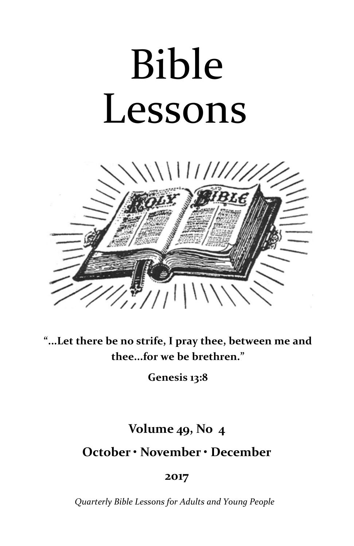# Bible Lessons



**"...Let there be no strife, I pray thee, between me and thee...for we be brethren."**

**Genesis 13:8**

# **Volume 49, No 4**

# **October • November • December**

**2017**

*Quarterly Bible Lessons for Adults and Young People*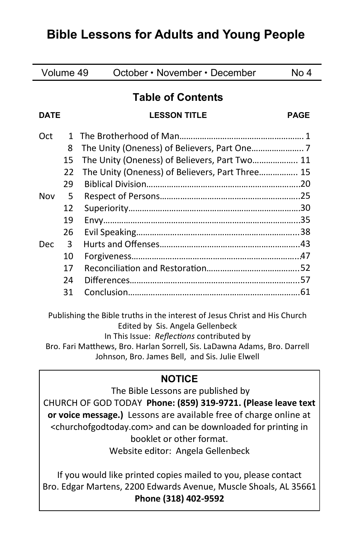## **Bible Lessons for Adults and Young People**

| Volume 49                                                                                                                                                   |    | October • November • December                   | No <sub>4</sub> |
|-------------------------------------------------------------------------------------------------------------------------------------------------------------|----|-------------------------------------------------|-----------------|
| <b>Table of Contents</b>                                                                                                                                    |    |                                                 |                 |
|                                                                                                                                                             |    |                                                 |                 |
| <b>DATE</b>                                                                                                                                                 |    | <b>LESSON TITLE</b>                             | <b>PAGE</b>     |
| Oct                                                                                                                                                         | 1  |                                                 |                 |
|                                                                                                                                                             | 8  |                                                 |                 |
|                                                                                                                                                             | 15 | The Unity (Oneness) of Believers, Part Two 11   |                 |
|                                                                                                                                                             | 22 | The Unity (Oneness) of Believers, Part Three 15 |                 |
|                                                                                                                                                             | 29 |                                                 |                 |
| Nov                                                                                                                                                         | 5  |                                                 |                 |
|                                                                                                                                                             | 12 |                                                 |                 |
|                                                                                                                                                             | 19 |                                                 |                 |
|                                                                                                                                                             | 26 |                                                 |                 |
| Dec                                                                                                                                                         | 3  |                                                 |                 |
|                                                                                                                                                             | 10 |                                                 |                 |
|                                                                                                                                                             | 17 |                                                 |                 |
|                                                                                                                                                             | 24 |                                                 |                 |
|                                                                                                                                                             | 31 |                                                 |                 |
| Publishing the Bible truths in the interest of Jesus Christ and His Church<br>Edited by Sis. Angela Gellenbeck<br>In This Issue: Reflections contributed by |    |                                                 |                 |
| Bro. Fari Matthews, Bro. Harlan Sorrell, Sis. LaDawna Adams, Bro. Darrell<br>Johnson, Bro. James Bell, and Sis. Julie Elwell                                |    |                                                 |                 |
| <b>NOTICE</b>                                                                                                                                               |    |                                                 |                 |
| The Bible Lessons are published by                                                                                                                          |    |                                                 |                 |

CHURCH OF GOD TODAY **Phone: (859) 319-9721. (Please leave text or voice message.)** Lessons are available free of charge online at <churchofgodtoday.com> and can be downloaded for printing in booklet or other format. Website editor: Angela Gellenbeck

If you would like printed copies mailed to you, please contact Bro. Edgar Martens, 2200 Edwards Avenue, Muscle Shoals, AL 35661 **Phone (318) 402-9592**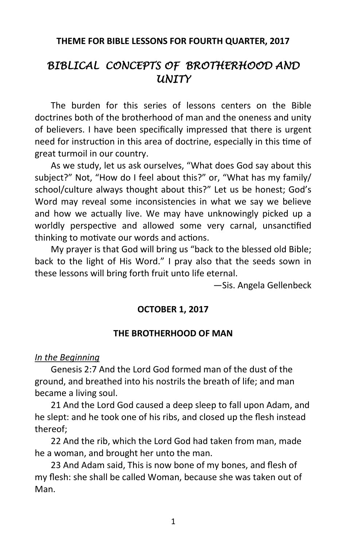## **THEME FOR BIBLE LESSONS FOR FOURTH QUARTER, 2017**

## *BIBLICAL CONCEPTS OF BROTHERHOOD AND UNITY*

The burden for this series of lessons centers on the Bible doctrines both of the brotherhood of man and the oneness and unity of believers. I have been specifically impressed that there is urgent need for instruction in this area of doctrine, especially in this time of great turmoil in our country.

As we study, let us ask ourselves, "What does God say about this subject?" Not, "How do I feel about this?" or, "What has my family/ school/culture always thought about this?" Let us be honest; God's Word may reveal some inconsistencies in what we say we believe and how we actually live. We may have unknowingly picked up a worldly perspective and allowed some very carnal, unsanctified thinking to motivate our words and actions.

My prayer is that God will bring us "back to the blessed old Bible; back to the light of His Word." I pray also that the seeds sown in these lessons will bring forth fruit unto life eternal.

—Sis. Angela Gellenbeck

#### **OCTOBER 1, 2017**

## **THE BROTHERHOOD OF MAN**

#### *In the Beginning*

Genesis 2:7 And the Lord God formed man of the dust of the ground, and breathed into his nostrils the breath of life; and man became a living soul.

21 And the Lord God caused a deep sleep to fall upon Adam, and he slept: and he took one of his ribs, and closed up the flesh instead thereof;

22 And the rib, which the Lord God had taken from man, made he a woman, and brought her unto the man.

23 And Adam said, This is now bone of my bones, and flesh of my flesh: she shall be called Woman, because she was taken out of Man.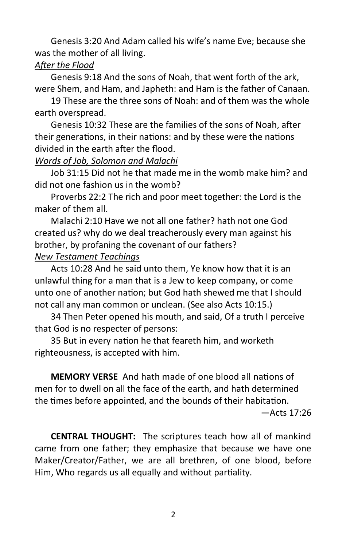Genesis 3:20 And Adam called his wife's name Eve; because she was the mother of all living.

## *After the Flood*

Genesis 9:18 And the sons of Noah, that went forth of the ark, were Shem, and Ham, and Japheth: and Ham is the father of Canaan.

19 These are the three sons of Noah: and of them was the whole earth overspread.

Genesis 10:32 These are the families of the sons of Noah, after their generations, in their nations: and by these were the nations divided in the earth after the flood.

## *Words of Job, Solomon and Malachi*

Job 31:15 Did not he that made me in the womb make him? and did not one fashion us in the womb?

Proverbs 22:2 The rich and poor meet together: the Lord is the maker of them all.

Malachi 2:10 Have we not all one father? hath not one God created us? why do we deal treacherously every man against his brother, by profaning the covenant of our fathers?

## *New Testament Teachings*

Acts 10:28 And he said unto them, Ye know how that it is an unlawful thing for a man that is a Jew to keep company, or come unto one of another nation; but God hath shewed me that I should not call any man common or unclean. (See also Acts 10:15.)

34 Then Peter opened his mouth, and said, Of a truth I perceive that God is no respecter of persons:

35 But in every nation he that feareth him, and worketh righteousness, is accepted with him.

**MEMORY VERSE** And hath made of one blood all nations of men for to dwell on all the face of the earth, and hath determined the times before appointed, and the bounds of their habitation.

—Acts 17:26

**CENTRAL THOUGHT:** The scriptures teach how all of mankind came from one father; they emphasize that because we have one Maker/Creator/Father, we are all brethren, of one blood, before Him, Who regards us all equally and without partiality.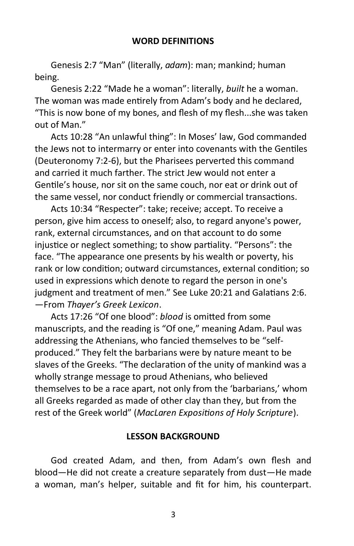## **WORD DEFINITIONS**

Genesis 2:7 "Man" (literally, *adam*): man; mankind; human being.

Genesis 2:22 "Made he a woman": literally, *built* he a woman. The woman was made entirely from Adam's body and he declared, "This is now bone of my bones, and flesh of my flesh...she was taken out of Man."

Acts 10:28 "An unlawful thing": In Moses' law, God commanded the Jews not to intermarry or enter into covenants with the Gentiles (Deuteronomy 7:2-6), but the Pharisees perverted this command and carried it much farther. The strict Jew would not enter a Gentile's house, nor sit on the same couch, nor eat or drink out of the same vessel, nor conduct friendly or commercial transactions.

Acts 10:34 "Respecter": take; receive; accept. To receive a person, give him access to oneself; also, to regard anyone's power, rank, external circumstances, and on that account to do some iniustice or neglect something; to show partiality. "Persons": the face. "The appearance one presents by his wealth or poverty, his rank or low condition; outward circumstances, external condition; so used in expressions which denote to regard the person in one's judgment and treatment of men." See Luke 20:21 and Galatians 2:6. —From *Thayer's Greek Lexicon*.

Acts 17:26 "Of one blood": *blood* is omitted from some manuscripts, and the reading is "Of one," meaning Adam. Paul was addressing the Athenians, who fancied themselves to be "selfproduced." They felt the barbarians were by nature meant to be slaves of the Greeks. "The declaration of the unity of mankind was a wholly strange message to proud Athenians, who believed themselves to be a race apart, not only from the 'barbarians,' whom all Greeks regarded as made of other clay than they, but from the rest of the Greek world" (*MacLaren Expositions of Holy Scripture*).

#### **LESSON BACKGROUND**

God created Adam, and then, from Adam's own flesh and blood—He did not create a creature separately from dust—He made a woman, man's helper, suitable and fit for him, his counterpart.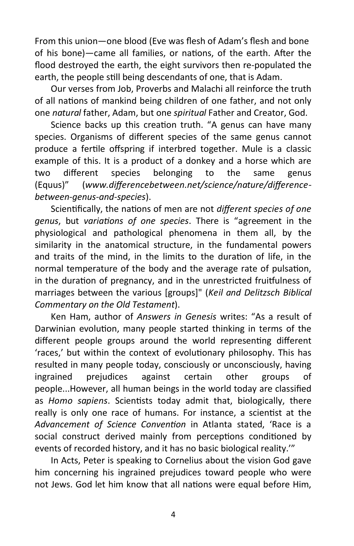From this union—one blood (Eve was flesh of Adam's flesh and bone of his bone)—came all families, or nations, of the earth. After the flood destroyed the earth, the eight survivors then re-populated the earth, the people still being descendants of one, that is Adam.

Our verses from Job, Proverbs and Malachi all reinforce the truth of all nations of mankind being children of one father, and not only one *natural* father, Adam, but one *spiritual* Father and Creator, God.

Science backs up this creation truth. "A genus can have many species. Organisms of different species of the same genus cannot produce a fertile offspring if interbred together. Mule is a classic example of this. It is a product of a donkey and a horse which are two different species belonging to the same genus (Equus)" (*www.differencebetween.net/science/nature/differencebetween-genus-and-species*).

Scientifically, the nations of men are not *different species of one genus*, but *variations of one species*. There is "agreement in the physiological and pathological phenomena in them all, by the similarity in the anatomical structure, in the fundamental powers and traits of the mind, in the limits to the duration of life, in the normal temperature of the body and the average rate of pulsation, in the duration of pregnancy, and in the unrestricted fruitfulness of marriages between the various [groups]" (*Keil and Delitzsch Biblical Commentary on the Old Testament*).

Ken Ham, author of *Answers in Genesis* writes: "As a result of Darwinian evolution, many people started thinking in terms of the different people groups around the world representing different 'races,' but within the context of evolutionary philosophy. This has resulted in many people today, consciously or unconsciously, having ingrained prejudices against certain other groups of people...However, all human beings in the world today are classified as *Homo sapiens*. Scientists today admit that, biologically, there really is only one race of humans. For instance, a scientist at the *Advancement of Science Convention* in Atlanta stated, 'Race is a social construct derived mainly from perceptions conditioned by events of recorded history, and it has no basic biological reality.'"

In Acts, Peter is speaking to Cornelius about the vision God gave him concerning his ingrained prejudices toward people who were not Jews. God let him know that all nations were equal before Him,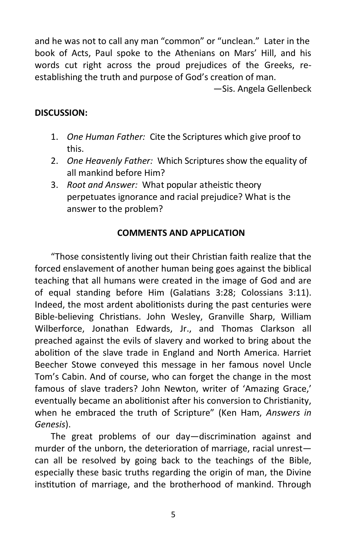and he was not to call any man "common" or "unclean." Later in the book of Acts, Paul spoke to the Athenians on Mars' Hill, and his words cut right across the proud prejudices of the Greeks, reestablishing the truth and purpose of God's creation of man.

—Sis. Angela Gellenbeck

## **DISCUSSION:**

- 1. *One Human Father:* Cite the Scriptures which give proof to this.
- 2. *One Heavenly Father:* Which Scriptures show the equality of all mankind before Him?
- 3. *Root and Answer:* What popular atheistic theory perpetuates ignorance and racial prejudice? What is the answer to the problem?

## **COMMENTS AND APPLICATION**

"Those consistently living out their Christian faith realize that the forced enslavement of another human being goes against the biblical teaching that all humans were created in the image of God and are of equal standing before Him (Galatians 3:28; Colossians 3:11). Indeed, the most ardent abolitionists during the past centuries were Bible-believing Christians. John Wesley, Granville Sharp, William Wilberforce, Jonathan Edwards, Jr., and Thomas Clarkson all preached against the evils of slavery and worked to bring about the abolition of the slave trade in England and North America. Harriet Beecher Stowe conveyed this message in her famous novel Uncle Tom's Cabin. And of course, who can forget the change in the most famous of slave traders? John Newton, writer of 'Amazing Grace,' eventually became an abolitionist after his conversion to Christianity, when he embraced the truth of Scripture" (Ken Ham, *Answers in Genesis*).

The great problems of our day—discrimination against and murder of the unborn, the deterioration of marriage, racial unrest can all be resolved by going back to the teachings of the Bible, especially these basic truths regarding the origin of man, the Divine institution of marriage, and the brotherhood of mankind. Through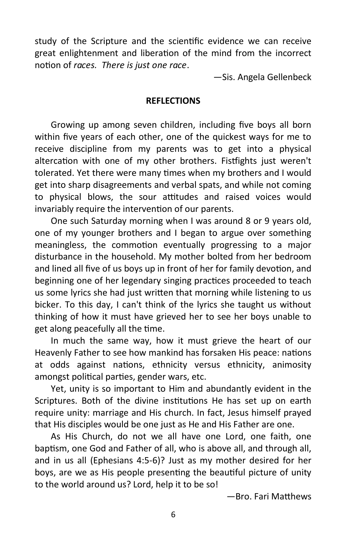study of the Scripture and the scientific evidence we can receive great enlightenment and liberation of the mind from the incorrect notion of *races. There is just one race*.

—Sis. Angela Gellenbeck

### **REFLECTIONS**

Growing up among seven children, including five boys all born within five years of each other, one of the quickest ways for me to receive discipline from my parents was to get into a physical altercation with one of my other brothers. Fistfights just weren't tolerated. Yet there were many times when my brothers and I would get into sharp disagreements and verbal spats, and while not coming to physical blows, the sour attitudes and raised voices would invariably require the intervention of our parents.

One such Saturday morning when I was around 8 or 9 years old, one of my younger brothers and I began to argue over something meaningless, the commotion eventually progressing to a major disturbance in the household. My mother bolted from her bedroom and lined all five of us boys up in front of her for family devotion, and beginning one of her legendary singing practices proceeded to teach us some lyrics she had just written that morning while listening to us bicker. To this day, I can't think of the lyrics she taught us without thinking of how it must have grieved her to see her boys unable to get along peacefully all the time.

In much the same way, how it must grieve the heart of our Heavenly Father to see how mankind has forsaken His peace: nations at odds against nations, ethnicity versus ethnicity, animosity amongst political parties, gender wars, etc.

Yet, unity is so important to Him and abundantly evident in the Scriptures. Both of the divine institutions He has set up on earth require unity: marriage and His church. In fact, Jesus himself prayed that His disciples would be one just as He and His Father are one.

As His Church, do not we all have one Lord, one faith, one baptism, one God and Father of all, who is above all, and through all, and in us all (Ephesians 4:5-6)? Just as my mother desired for her boys, are we as His people presenting the beautiful picture of unity to the world around us? Lord, help it to be so!

—Bro. Fari Matthews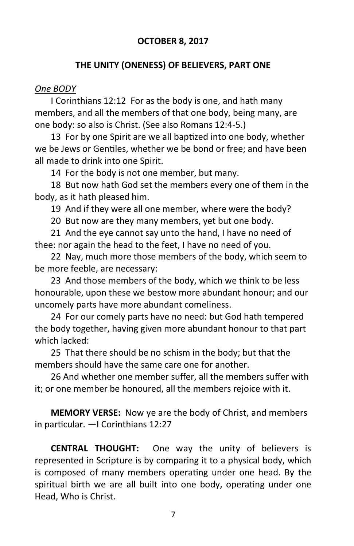## **THE UNITY (ONENESS) OF BELIEVERS, PART ONE**

## *One BODY*

I Corinthians 12:12 For as the body is one, and hath many members, and all the members of that one body, being many, are one body: so also is Christ. (See also Romans 12:4-5.)

13 For by one Spirit are we all baptized into one body, whether we be Jews or Gentiles, whether we be bond or free; and have been all made to drink into one Spirit.

14 For the body is not one member, but many.

18 But now hath God set the members every one of them in the body, as it hath pleased him.

19 And if they were all one member, where were the body?

20 But now are they many members, yet but one body.

21 And the eye cannot say unto the hand, I have no need of thee: nor again the head to the feet, I have no need of you.

22 Nay, much more those members of the body, which seem to be more feeble, are necessary:

23 And those members of the body, which we think to be less honourable, upon these we bestow more abundant honour; and our uncomely parts have more abundant comeliness.

24 For our comely parts have no need: but God hath tempered the body together, having given more abundant honour to that part which lacked:

25 That there should be no schism in the body; but that the members should have the same care one for another.

26 And whether one member suffer, all the members suffer with it; or one member be honoured, all the members rejoice with it.

**MEMORY VERSE:** Now ye are the body of Christ, and members in particular. —I Corinthians 12:27

**CENTRAL THOUGHT:** One way the unity of believers is represented in Scripture is by comparing it to a physical body, which is composed of many members operating under one head. By the spiritual birth we are all built into one body, operating under one Head, Who is Christ.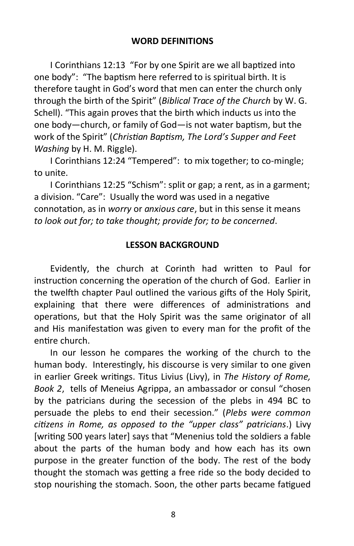I Corinthians 12:13 "For by one Spirit are we all baptized into one body": "The baptism here referred to is spiritual birth. It is therefore taught in God's word that men can enter the church only through the birth of the Spirit" (*Biblical Trace of the Church* by W. G. Schell). "This again proves that the birth which inducts us into the one body—church, or family of God—is not water baptism, but the work of the Spirit" (*Christian Baptism, The Lord's Supper and Feet Washing* by H. M. Riggle).

I Corinthians 12:24 "Tempered": to mix together; to co-mingle; to unite.

I Corinthians 12:25 "Schism": split or gap; a rent, as in a garment; a division. "Care": Usually the word was used in a negative connotation, as in *worry* or *anxious care*, but in this sense it means *to look out for; to take thought; provide for; to be concerned*.

## **LESSON BACKGROUND**

Evidently, the church at Corinth had written to Paul for instruction concerning the operation of the church of God. Earlier in the twelfth chapter Paul outlined the various gifts of the Holy Spirit, explaining that there were differences of administrations and operations, but that the Holy Spirit was the same originator of all and His manifestation was given to every man for the profit of the entire church.

In our lesson he compares the working of the church to the human body. Interestingly, his discourse is very similar to one given in earlier Greek writings. Titus Livius (Livy), in *The History of Rome, Book 2*, tells of Meneius Agrippa, an ambassador or consul "chosen by the patricians during the secession of the plebs in 494 BC to persuade the plebs to end their secession." (*Plebs were common citizens in Rome, as opposed to the "upper class" patricians*.) Livy [writing 500 years later] says that "Menenius told the soldiers a fable about the parts of the human body and how each has its own purpose in the greater function of the body. The rest of the body thought the stomach was getting a free ride so the body decided to stop nourishing the stomach. Soon, the other parts became fatigued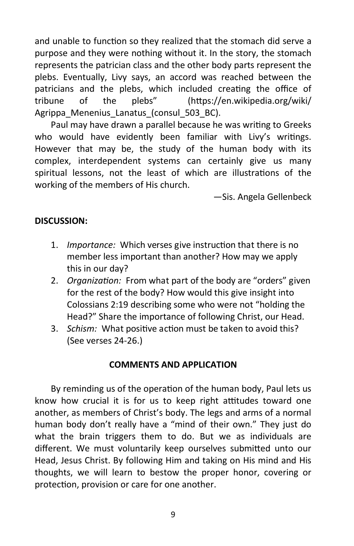and unable to function so they realized that the stomach did serve a purpose and they were nothing without it. In the story, the stomach represents the patrician class and the other body parts represent the plebs. Eventually, Livy says, an accord was reached between the patricians and the plebs, which included creating the office of tribune of the plebs" (https://en.wikipedia.org/wiki/ Agrippa Menenius Lanatus (consul 503 BC).

Paul may have drawn a parallel because he was writing to Greeks who would have evidently been familiar with Livy's writings. However that may be, the study of the human body with its complex, interdependent systems can certainly give us many spiritual lessons, not the least of which are illustrations of the working of the members of His church.

—Sis. Angela Gellenbeck

## **DISCUSSION:**

- 1. *Importance:* Which verses give instruction that there is no member less important than another? How may we apply this in our day?
- 2. *Organization:* From what part of the body are "orders" given for the rest of the body? How would this give insight into Colossians 2:19 describing some who were not "holding the Head?" Share the importance of following Christ, our Head.
- 3. *Schism:* What positive action must be taken to avoid this? (See verses 24-26.)

## **COMMENTS AND APPLICATION**

By reminding us of the operation of the human body, Paul lets us know how crucial it is for us to keep right attitudes toward one another, as members of Christ's body. The legs and arms of a normal human body don't really have a "mind of their own." They just do what the brain triggers them to do. But we as individuals are different. We must voluntarily keep ourselves submitted unto our Head, Jesus Christ. By following Him and taking on His mind and His thoughts, we will learn to bestow the proper honor, covering or protection, provision or care for one another.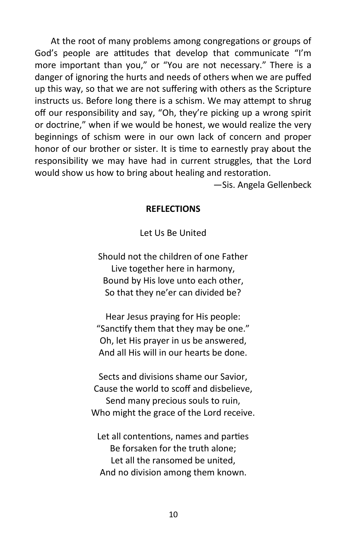At the root of many problems among congregations or groups of God's people are attitudes that develop that communicate "I'm more important than you," or "You are not necessary." There is a danger of ignoring the hurts and needs of others when we are puffed up this way, so that we are not suffering with others as the Scripture instructs us. Before long there is a schism. We may attempt to shrug off our responsibility and say, "Oh, they're picking up a wrong spirit or doctrine," when if we would be honest, we would realize the very beginnings of schism were in our own lack of concern and proper honor of our brother or sister. It is time to earnestly pray about the responsibility we may have had in current struggles, that the Lord would show us how to bring about healing and restoration.

—Sis. Angela Gellenbeck

## **REFLECTIONS**

Let Us Be United

Should not the children of one Father Live together here in harmony, Bound by His love unto each other, So that they ne'er can divided be?

Hear Jesus praying for His people: "Sanctify them that they may be one." Oh, let His prayer in us be answered, And all His will in our hearts be done.

Sects and divisions shame our Savior, Cause the world to scoff and disbelieve, Send many precious souls to ruin, Who might the grace of the Lord receive.

Let all contentions, names and parties Be forsaken for the truth alone; Let all the ransomed be united, And no division among them known.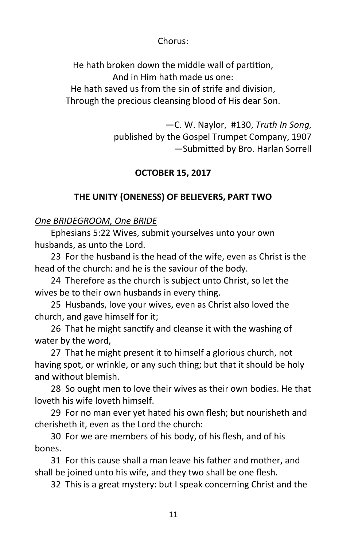Chorus:

He hath broken down the middle wall of partition, And in Him hath made us one: He hath saved us from the sin of strife and division, Through the precious cleansing blood of His dear Son.

> —C. W. Naylor, #130, *Truth In Song*, published by the Gospel Trumpet Company, 1907 —Submitted by Bro. Harlan Sorrell

## **OCTOBER 15, 2017**

## **THE UNITY (ONENESS) OF BELIEVERS, PART TWO**

## *One BRIDEGROOM, One BRIDE*

Ephesians 5:22 Wives, submit yourselves unto your own husbands, as unto the Lord.

23 For the husband is the head of the wife, even as Christ is the head of the church: and he is the saviour of the body.

24 Therefore as the church is subject unto Christ, so let the wives be to their own husbands in every thing.

25 Husbands, love your wives, even as Christ also loved the church, and gave himself for it;

26 That he might sanctify and cleanse it with the washing of water by the word,

27 That he might present it to himself a glorious church, not having spot, or wrinkle, or any such thing; but that it should be holy and without blemish.

28 So ought men to love their wives as their own bodies. He that loveth his wife loveth himself.

29 For no man ever yet hated his own flesh; but nourisheth and cherisheth it, even as the Lord the church:

30 For we are members of his body, of his flesh, and of his bones.

31 For this cause shall a man leave his father and mother, and shall be joined unto his wife, and they two shall be one flesh.

32 This is a great mystery: but I speak concerning Christ and the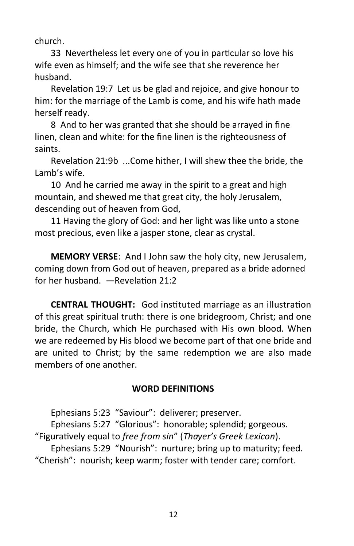church.

33 Nevertheless let every one of you in particular so love his wife even as himself; and the wife see that she reverence her husband.

Revelation 19:7 Let us be glad and rejoice, and give honour to him: for the marriage of the Lamb is come, and his wife hath made herself ready.

8 And to her was granted that she should be arrayed in fine linen, clean and white: for the fine linen is the righteousness of saints.

Revelation 21:9b ...Come hither, I will shew thee the bride, the Lamb's wife.

10 And he carried me away in the spirit to a great and high mountain, and shewed me that great city, the holy Jerusalem, descending out of heaven from God,

11 Having the glory of God: and her light was like unto a stone most precious, even like a jasper stone, clear as crystal.

**MEMORY VERSE**: And I John saw the holy city, new Jerusalem, coming down from God out of heaven, prepared as a bride adorned for her husband. —Revelation 21:2

**CENTRAL THOUGHT:** God instituted marriage as an illustration of this great spiritual truth: there is one bridegroom, Christ; and one bride, the Church, which He purchased with His own blood. When we are redeemed by His blood we become part of that one bride and are united to Christ; by the same redemption we are also made members of one another.

## **WORD DEFINITIONS**

Ephesians 5:23 "Saviour": deliverer; preserver.

Ephesians 5:27 "Glorious": honorable; splendid; gorgeous. "Figuratively equal to *free from sin*" (*Thayer's Greek Lexicon*).

Ephesians 5:29 "Nourish": nurture; bring up to maturity; feed. "Cherish": nourish; keep warm; foster with tender care; comfort.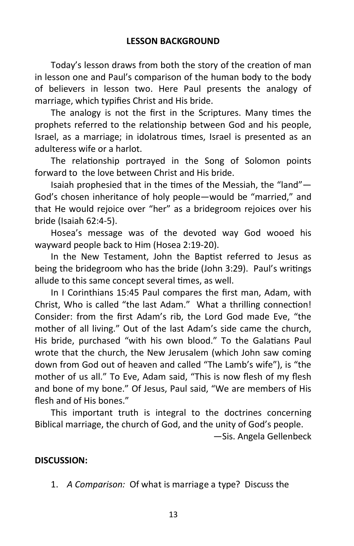Today's lesson draws from both the story of the creation of man in lesson one and Paul's comparison of the human body to the body of believers in lesson two. Here Paul presents the analogy of marriage, which typifies Christ and His bride.

The analogy is not the first in the Scriptures. Many times the prophets referred to the relationship between God and his people, Israel, as a marriage; in idolatrous times, Israel is presented as an adulteress wife or a harlot.

The relationship portrayed in the Song of Solomon points forward to the love between Christ and His bride.

Isaiah prophesied that in the times of the Messiah, the "land"— God's chosen inheritance of holy people—would be "married," and that He would rejoice over "her" as a bridegroom rejoices over his bride (Isaiah 62:4-5).

Hosea's message was of the devoted way God wooed his wayward people back to Him (Hosea 2:19-20).

In the New Testament, John the Baptist referred to Jesus as being the bridegroom who has the bride (John 3:29). Paul's writings allude to this same concept several times, as well.

In I Corinthians 15:45 Paul compares the first man, Adam, with Christ, Who is called "the last Adam." What a thrilling connection! Consider: from the first Adam's rib, the Lord God made Eve, "the mother of all living." Out of the last Adam's side came the church, His bride, purchased "with his own blood." To the Galatians Paul wrote that the church, the New Jerusalem (which John saw coming down from God out of heaven and called "The Lamb's wife"), is "the mother of us all." To Eve, Adam said, "This is now flesh of my flesh and bone of my bone." Of Jesus, Paul said, "We are members of His flesh and of His bones."

This important truth is integral to the doctrines concerning Biblical marriage, the church of God, and the unity of God's people.

—Sis. Angela Gellenbeck

## **DISCUSSION:**

1. *A Comparison:* Of what is marriage a type? Discuss the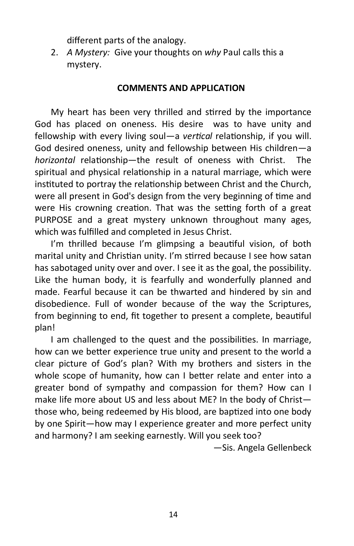different parts of the analogy.

2. *A Mystery:* Give your thoughts on *why* Paul calls this a mystery.

## **COMMENTS AND APPLICATION**

My heart has been very thrilled and stirred by the importance God has placed on oneness. His desire was to have unity and fellowship with every living soul—a *vertical* relationship, if you will. God desired oneness, unity and fellowship between His children—a *horizontal* relationship—the result of oneness with Christ. The spiritual and physical relationship in a natural marriage, which were instituted to portray the relationship between Christ and the Church, were all present in God's design from the very beginning of time and were His crowning creation. That was the setting forth of a great PURPOSE and a great mystery unknown throughout many ages, which was fulfilled and completed in Jesus Christ.

I'm thrilled because I'm glimpsing a beautiful vision, of both marital unity and Christian unity. I'm stirred because I see how satan has sabotaged unity over and over. I see it as the goal, the possibility. Like the human body, it is fearfully and wonderfully planned and made. Fearful because it can be thwarted and hindered by sin and disobedience. Full of wonder because of the way the Scriptures, from beginning to end, fit together to present a complete, beautiful plan!

I am challenged to the quest and the possibilities. In marriage, how can we better experience true unity and present to the world a clear picture of God's plan? With my brothers and sisters in the whole scope of humanity, how can I better relate and enter into a greater bond of sympathy and compassion for them? How can I make life more about US and less about ME? In the body of Christ those who, being redeemed by His blood, are baptized into one body by one Spirit—how may I experience greater and more perfect unity and harmony? I am seeking earnestly. Will you seek too?

—Sis. Angela Gellenbeck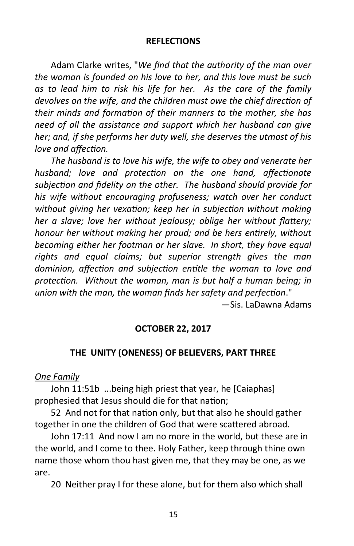## **REFLECTIONS**

Adam Clarke writes, "*We find that the authority of the man over the woman is founded on his love to her, and this love must be such as to lead him to risk his life for her. As the care of the family devolves on the wife, and the children must owe the chief direction of their minds and formation of their manners to the mother, she has need of all the assistance and support which her husband can give her; and, if she performs her duty well, she deserves the utmost of his love and affection.*

*The husband is to love his wife, the wife to obey and venerate her husband; love and protection on the one hand, affectionate subjection and fidelity on the other. The husband should provide for his wife without encouraging profuseness; watch over her conduct without giving her vexation; keep her in subjection without making her a slave; love her without jealousy; oblige her without flattery; honour her without making her proud; and be hers entirely, without becoming either her footman or her slave. In short, they have equal rights and equal claims; but superior strength gives the man dominion, affection and subjection entitle the woman to love and protection. Without the woman, man is but half a human being; in union with the man, the woman finds her safety and perfection*."

—Sis. LaDawna Adams

## **OCTOBER 22, 2017**

## **THE UNITY (ONENESS) OF BELIEVERS, PART THREE**

## *One Family*

John 11:51b ...being high priest that year, he [Caiaphas] prophesied that Jesus should die for that nation;

52 And not for that nation only, but that also he should gather together in one the children of God that were scattered abroad.

John 17:11 And now I am no more in the world, but these are in the world, and I come to thee. Holy Father, keep through thine own name those whom thou hast given me, that they may be one, as we are.

20 Neither pray I for these alone, but for them also which shall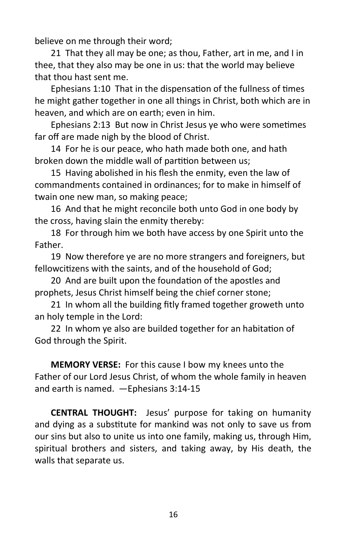believe on me through their word;

21 That they all may be one; as thou, Father, art in me, and I in thee, that they also may be one in us: that the world may believe that thou hast sent me.

Ephesians 1:10 That in the dispensation of the fullness of times he might gather together in one all things in Christ, both which are in heaven, and which are on earth; even in him.

Ephesians 2:13 But now in Christ Jesus ye who were sometimes far off are made nigh by the blood of Christ.

14 For he is our peace, who hath made both one, and hath broken down the middle wall of partition between us;

15 Having abolished in his flesh the enmity, even the law of commandments contained in ordinances; for to make in himself of twain one new man, so making peace;

16 And that he might reconcile both unto God in one body by the cross, having slain the enmity thereby:

18 For through him we both have access by one Spirit unto the Father.

19 Now therefore ye are no more strangers and foreigners, but fellowcitizens with the saints, and of the household of God;

20 And are built upon the foundation of the apostles and prophets, Jesus Christ himself being the chief corner stone;

21 In whom all the building fitly framed together groweth unto an holy temple in the Lord:

22 In whom ye also are builded together for an habitation of God through the Spirit.

**MEMORY VERSE:** For this cause I bow my knees unto the Father of our Lord Jesus Christ, of whom the whole family in heaven and earth is named. —Ephesians 3:14-15

**CENTRAL THOUGHT:** Jesus' purpose for taking on humanity and dying as a substitute for mankind was not only to save us from our sins but also to unite us into one family, making us, through Him, spiritual brothers and sisters, and taking away, by His death, the walls that separate us.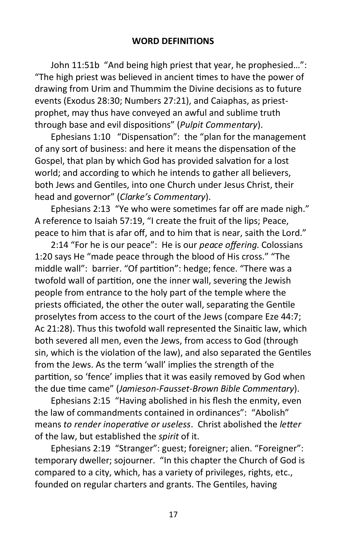John 11:51b "And being high priest that year, he prophesied…": "The high priest was believed in ancient times to have the power of drawing from Urim and Thummim the Divine decisions as to future events (Exodus 28:30; Numbers 27:21), and Caiaphas, as priestprophet, may thus have conveyed an awful and sublime truth through base and evil dispositions" (*Pulpit Commentary*).

Ephesians 1:10 "Dispensation": the "plan for the management of any sort of business: and here it means the dispensation of the Gospel, that plan by which God has provided salvation for a lost world; and according to which he intends to gather all believers, both Jews and Gentiles, into one Church under Jesus Christ, their head and governor" (*Clarke's Commentary*).

Ephesians 2:13 "Ye who were sometimes far off are made nigh." A reference to Isaiah 57:19, "I create the fruit of the lips; Peace, peace to him that is afar off, and to him that is near, saith the Lord."

2:14 "For he is our peace": He is our *peace offering*. Colossians 1:20 says He "made peace through the blood of His cross." "The middle wall": barrier. "Of partition": hedge; fence. "There was a twofold wall of partition, one the inner wall, severing the Jewish people from entrance to the holy part of the temple where the priests officiated, the other the outer wall, separating the Gentile proselytes from access to the court of the Jews (compare Eze 44:7; Ac 21:28). Thus this twofold wall represented the Sinaitic law, which both severed all men, even the Jews, from access to God (through sin, which is the violation of the law), and also separated the Gentiles from the Jews. As the term 'wall' implies the strength of the partition, so 'fence' implies that it was easily removed by God when the due time came" (*Jamieson-Fausset-Brown Bible Commentary*).

Ephesians 2:15 "Having abolished in his flesh the enmity, even the law of commandments contained in ordinances": "Abolish" means *to render inoperative or useless*. Christ abolished the *letter*  of the law, but established the *spirit* of it.

Ephesians 2:19 "Stranger": guest; foreigner; alien. "Foreigner": temporary dweller; sojourner. "In this chapter the Church of God is compared to a city, which, has a variety of privileges, rights, etc., founded on regular charters and grants. The Gentiles, having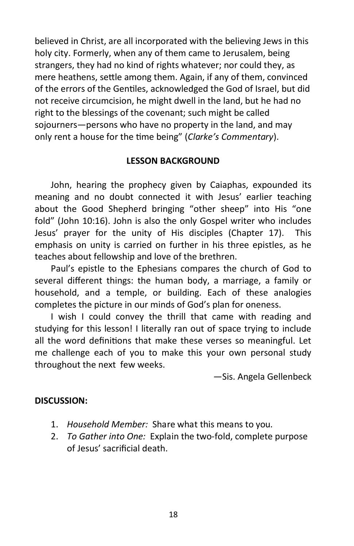believed in Christ, are all incorporated with the believing Jews in this holy city. Formerly, when any of them came to Jerusalem, being strangers, they had no kind of rights whatever; nor could they, as mere heathens, settle among them. Again, if any of them, convinced of the errors of the Gentiles, acknowledged the God of Israel, but did not receive circumcision, he might dwell in the land, but he had no right to the blessings of the covenant; such might be called sojourners—persons who have no property in the land, and may only rent a house for the time being" (*Clarke's Commentary*).

## **LESSON BACKGROUND**

John, hearing the prophecy given by Caiaphas, expounded its meaning and no doubt connected it with Jesus' earlier teaching about the Good Shepherd bringing "other sheep" into His "one fold" (John 10:16). John is also the only Gospel writer who includes Jesus' prayer for the unity of His disciples (Chapter 17). This emphasis on unity is carried on further in his three epistles, as he teaches about fellowship and love of the brethren.

Paul's epistle to the Ephesians compares the church of God to several different things: the human body, a marriage, a family or household, and a temple, or building. Each of these analogies completes the picture in our minds of God's plan for oneness.

I wish I could convey the thrill that came with reading and studying for this lesson! I literally ran out of space trying to include all the word definitions that make these verses so meaningful. Let me challenge each of you to make this your own personal study throughout the next few weeks.

—Sis. Angela Gellenbeck

## **DISCUSSION:**

- 1. *Household Member:* Share what this means to you.
- 2. *To Gather into One:* Explain the two-fold, complete purpose of Jesus' sacrificial death.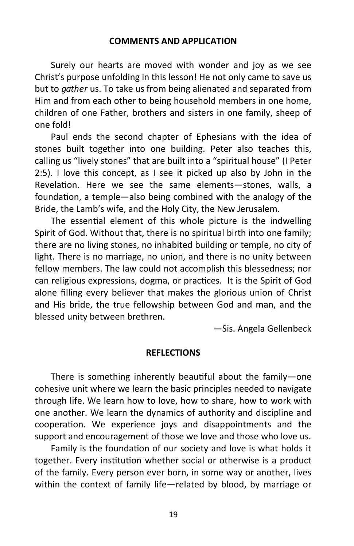Surely our hearts are moved with wonder and joy as we see Christ's purpose unfolding in this lesson! He not only came to save us but to *gather* us. To take us from being alienated and separated from Him and from each other to being household members in one home, children of one Father, brothers and sisters in one family, sheep of one fold!

Paul ends the second chapter of Ephesians with the idea of stones built together into one building. Peter also teaches this, calling us "lively stones" that are built into a "spiritual house" (I Peter 2:5). I love this concept, as I see it picked up also by John in the Revelation. Here we see the same elements—stones, walls, a foundation, a temple—also being combined with the analogy of the Bride, the Lamb's wife, and the Holy City, the New Jerusalem.

The essential element of this whole picture is the indwelling Spirit of God. Without that, there is no spiritual birth into one family; there are no living stones, no inhabited building or temple, no city of light. There is no marriage, no union, and there is no unity between fellow members. The law could not accomplish this blessedness; nor can religious expressions, dogma, or practices. It is the Spirit of God alone filling every believer that makes the glorious union of Christ and His bride, the true fellowship between God and man, and the blessed unity between brethren.

—Sis. Angela Gellenbeck

## **REFLECTIONS**

There is something inherently beautiful about the family—one cohesive unit where we learn the basic principles needed to navigate through life. We learn how to love, how to share, how to work with one another. We learn the dynamics of authority and discipline and cooperation. We experience joys and disappointments and the support and encouragement of those we love and those who love us.

Family is the foundation of our society and love is what holds it together. Every institution whether social or otherwise is a product of the family. Every person ever born, in some way or another, lives within the context of family life—related by blood, by marriage or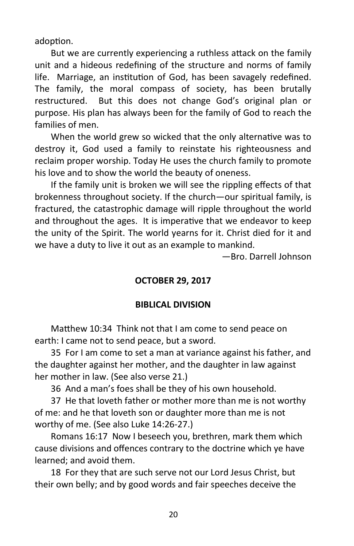adoption.

But we are currently experiencing a ruthless attack on the family unit and a hideous redefining of the structure and norms of family life. Marriage, an institution of God, has been savagely redefined. The family, the moral compass of society, has been brutally restructured. But this does not change God's original plan or purpose. His plan has always been for the family of God to reach the families of men.

When the world grew so wicked that the only alternative was to destroy it, God used a family to reinstate his righteousness and reclaim proper worship. Today He uses the church family to promote his love and to show the world the beauty of oneness.

If the family unit is broken we will see the rippling effects of that brokenness throughout society. If the church—our spiritual family, is fractured, the catastrophic damage will ripple throughout the world and throughout the ages. It is imperative that we endeavor to keep the unity of the Spirit. The world yearns for it. Christ died for it and we have a duty to live it out as an example to mankind.

—Bro. Darrell Johnson

## **OCTOBER 29, 2017**

## **BIBLICAL DIVISION**

Matthew 10:34 Think not that I am come to send peace on earth: I came not to send peace, but a sword.

35 For I am come to set a man at variance against his father, and the daughter against her mother, and the daughter in law against her mother in law. (See also verse 21.)

36 And a man's foes shall be they of his own household.

37 He that loveth father or mother more than me is not worthy of me: and he that loveth son or daughter more than me is not worthy of me. (See also Luke 14:26-27.)

Romans 16:17 Now I beseech you, brethren, mark them which cause divisions and offences contrary to the doctrine which ye have learned; and avoid them.

18 For they that are such serve not our Lord Jesus Christ, but their own belly; and by good words and fair speeches deceive the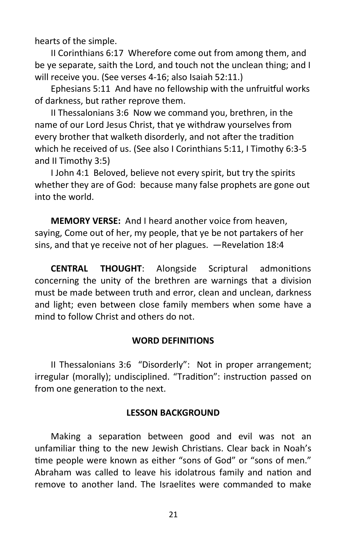hearts of the simple.

II Corinthians 6:17 Wherefore come out from among them, and be ye separate, saith the Lord, and touch not the unclean thing; and I will receive you. (See verses 4-16; also Isaiah 52:11.)

Ephesians 5:11 And have no fellowship with the unfruitful works of darkness, but rather reprove them.

II Thessalonians 3:6 Now we command you, brethren, in the name of our Lord Jesus Christ, that ye withdraw yourselves from every brother that walketh disorderly, and not after the tradition which he received of us. (See also I Corinthians 5:11, I Timothy 6:3-5 and II Timothy 3:5)

I John 4:1 Beloved, believe not every spirit, but try the spirits whether they are of God: because many false prophets are gone out into the world.

**MEMORY VERSE:** And I heard another voice from heaven, saying, Come out of her, my people, that ye be not partakers of her sins, and that ye receive not of her plagues. —Revelation 18:4

**CENTRAL THOUGHT**: Alongside Scriptural admonitions concerning the unity of the brethren are warnings that a division must be made between truth and error, clean and unclean, darkness and light; even between close family members when some have a mind to follow Christ and others do not.

## **WORD DEFINITIONS**

II Thessalonians 3:6 "Disorderly": Not in proper arrangement; irregular (morally); undisciplined. "Tradition": instruction passed on from one generation to the next.

## **LESSON BACKGROUND**

Making a separation between good and evil was not an unfamiliar thing to the new Jewish Christians. Clear back in Noah's time people were known as either "sons of God" or "sons of men." Abraham was called to leave his idolatrous family and nation and remove to another land. The Israelites were commanded to make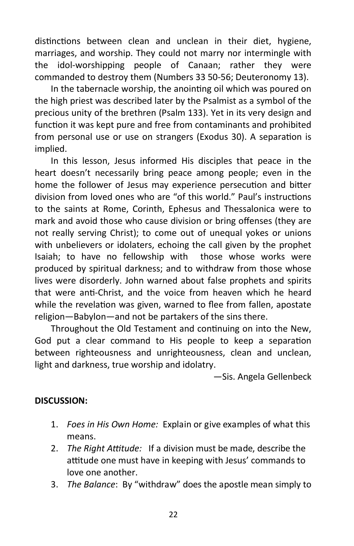distinctions between clean and unclean in their diet, hygiene, marriages, and worship. They could not marry nor intermingle with the idol-worshipping people of Canaan; rather they were commanded to destroy them (Numbers 33 50-56; Deuteronomy 13).

In the tabernacle worship, the anointing oil which was poured on the high priest was described later by the Psalmist as a symbol of the precious unity of the brethren (Psalm 133). Yet in its very design and function it was kept pure and free from contaminants and prohibited from personal use or use on strangers (Exodus 30). A separation is implied.

In this lesson, Jesus informed His disciples that peace in the heart doesn't necessarily bring peace among people; even in the home the follower of Jesus may experience persecution and bitter division from loved ones who are "of this world." Paul's instructions to the saints at Rome, Corinth, Ephesus and Thessalonica were to mark and avoid those who cause division or bring offenses (they are not really serving Christ); to come out of unequal yokes or unions with unbelievers or idolaters, echoing the call given by the prophet Isaiah; to have no fellowship with those whose works were produced by spiritual darkness; and to withdraw from those whose lives were disorderly. John warned about false prophets and spirits that were anti-Christ, and the voice from heaven which he heard while the revelation was given, warned to flee from fallen, apostate religion—Babylon—and not be partakers of the sins there.

Throughout the Old Testament and continuing on into the New, God put a clear command to His people to keep a separation between righteousness and unrighteousness, clean and unclean, light and darkness, true worship and idolatry.

—Sis. Angela Gellenbeck

## **DISCUSSION:**

- 1. *Foes in His Own Home:* Explain or give examples of what this means.
- 2. *The Right Attitude:* If a division must be made, describe the attitude one must have in keeping with Jesus' commands to love one another.
- 3. *The Balance*: By "withdraw" does the apostle mean simply to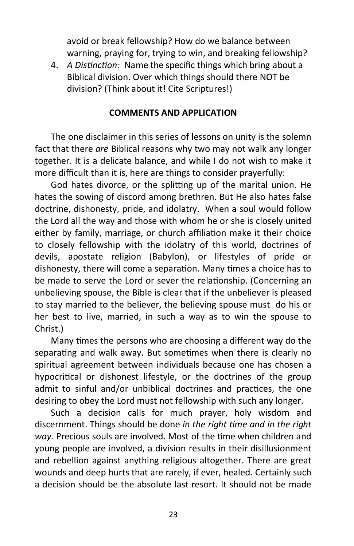avoid or break fellowship? How do we balance between warning, praying for, trying to win, and breaking fellowship?

4. *A Distinction:* Name the specific things which bring about a Biblical division. Over which things should there NOT be division? (Think about it! Cite Scriptures!)

## **COMMENTS AND APPLICATION**

The one disclaimer in this series of lessons on unity is the solemn fact that there *are* Biblical reasons why two may not walk any longer together. It is a delicate balance, and while I do not wish to make it more difficult than it is, here are things to consider prayerfully:

God hates divorce, or the splitting up of the marital union. He hates the sowing of discord among brethren. But He also hates false doctrine, dishonesty, pride, and idolatry. When a soul would follow the Lord all the way and those with whom he or she is closely united either by family, marriage, or church affiliation make it their choice to closely fellowship with the idolatry of this world, doctrines of devils, apostate religion (Babylon), or lifestyles of pride or dishonesty, there will come a separation. Many times a choice has to be made to serve the Lord or sever the relationship. (Concerning an unbelieving spouse, the Bible is clear that if the unbeliever is pleased to stay married to the believer, the believing spouse must do his or her best to live, married, in such a way as to win the spouse to Christ.)

Many times the persons who are choosing a different way do the separating and walk away. But sometimes when there is clearly no spiritual agreement between individuals because one has chosen a hypocritical or dishonest lifestyle, or the doctrines of the group admit to sinful and/or unbiblical doctrines and practices, the one desiring to obey the Lord must not fellowship with such any longer.

Such a decision calls for much prayer, holy wisdom and discernment. Things should be done *in the right time and in the right way.* Precious souls are involved. Most of the time when children and young people are involved, a division results in their disillusionment and rebellion against anything religious altogether. There are great wounds and deep hurts that are rarely, if ever, healed. Certainly such a decision should be the absolute last resort. It should not be made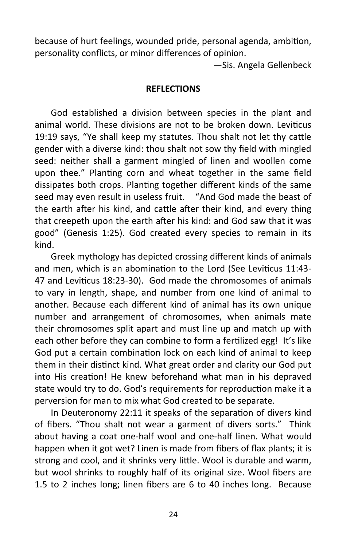because of hurt feelings, wounded pride, personal agenda, ambition, personality conflicts, or minor differences of opinion.

—Sis. Angela Gellenbeck

## **REFLECTIONS**

God established a division between species in the plant and animal world. These divisions are not to be broken down. Leviticus 19:19 says, "Ye shall keep my statutes. Thou shalt not let thy cattle gender with a diverse kind: thou shalt not sow thy field with mingled seed: neither shall a garment mingled of linen and woollen come upon thee." Planting corn and wheat together in the same field dissipates both crops. Planting together different kinds of the same seed may even result in useless fruit. "And God made the beast of the earth after his kind, and cattle after their kind, and every thing that creepeth upon the earth after his kind: and God saw that it was good" (Genesis 1:25). God created every species to remain in its kind.

Greek mythology has depicted crossing different kinds of animals and men, which is an abomination to the Lord (See Leviticus 11:43- 47 and Leviticus 18:23-30). God made the chromosomes of animals to vary in length, shape, and number from one kind of animal to another. Because each different kind of animal has its own unique number and arrangement of chromosomes, when animals mate their chromosomes split apart and must line up and match up with each other before they can combine to form a fertilized egg! It's like God put a certain combination lock on each kind of animal to keep them in their distinct kind. What great order and clarity our God put into His creation! He knew beforehand what man in his depraved state would try to do. God's requirements for reproduction make it a perversion for man to mix what God created to be separate.

In Deuteronomy 22:11 it speaks of the separation of divers kind of fibers. "Thou shalt not wear a garment of divers sorts." Think about having a coat one-half wool and one-half linen. What would happen when it got wet? Linen is made from fibers of flax plants; it is strong and cool, and it shrinks very little. Wool is durable and warm, but wool shrinks to roughly half of its original size. Wool fibers are 1.5 to 2 inches long; linen fibers are 6 to 40 inches long. Because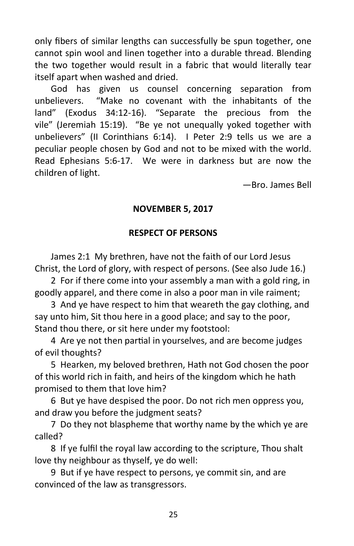only fibers of similar lengths can successfully be spun together, one cannot spin wool and linen together into a durable thread. Blending the two together would result in a fabric that would literally tear itself apart when washed and dried.

God has given us counsel concerning separation from unbelievers. "Make no covenant with the inhabitants of the land" (Exodus 34:12-16). "Separate the precious from the vile" (Jeremiah 15:19). "Be ye not unequally yoked together with unbelievers" (II Corinthians 6:14). I Peter 2:9 tells us we are a peculiar people chosen by God and not to be mixed with the world. Read Ephesians 5:6-17. We were in darkness but are now the children of light.

—Bro. James Bell

## **NOVEMBER 5, 2017**

## **RESPECT OF PERSONS**

James 2:1 My brethren, have not the faith of our Lord Jesus Christ, the Lord of glory, with respect of persons. (See also Jude 16.)

2 For if there come into your assembly a man with a gold ring, in goodly apparel, and there come in also a poor man in vile raiment;

3 And ye have respect to him that weareth the gay clothing, and say unto him, Sit thou here in a good place; and say to the poor, Stand thou there, or sit here under my footstool:

4 Are ye not then partial in yourselves, and are become judges of evil thoughts?

5 Hearken, my beloved brethren, Hath not God chosen the poor of this world rich in faith, and heirs of the kingdom which he hath promised to them that love him?

6 But ye have despised the poor. Do not rich men oppress you, and draw you before the judgment seats?

7 Do they not blaspheme that worthy name by the which ye are called?

8 If ye fulfil the royal law according to the scripture, Thou shalt love thy neighbour as thyself, ye do well:

9 But if ye have respect to persons, ye commit sin, and are convinced of the law as transgressors.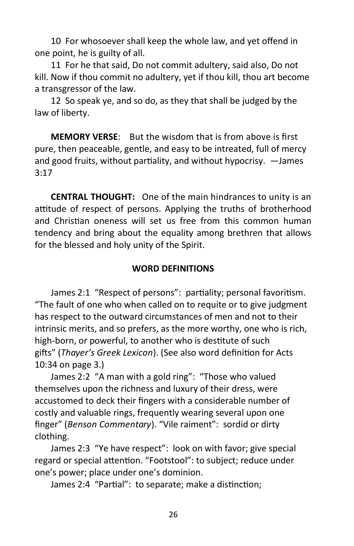10 For whosoever shall keep the whole law, and yet offend in one point, he is guilty of all.

11 For he that said, Do not commit adultery, said also, Do not kill. Now if thou commit no adultery, yet if thou kill, thou art become a transgressor of the law.

12 So speak ye, and so do, as they that shall be judged by the law of liberty.

**MEMORY VERSE**: But the wisdom that is from above is first pure, then peaceable, gentle, and easy to be intreated, full of mercy and good fruits, without partiality, and without hypocrisy. —James 3:17

**CENTRAL THOUGHT:** One of the main hindrances to unity is an attitude of respect of persons. Applying the truths of brotherhood and Christian oneness will set us free from this common human tendency and bring about the equality among brethren that allows for the blessed and holy unity of the Spirit.

## **WORD DEFINITIONS**

James 2:1 "Respect of persons": partiality; personal favoritism. "The fault of one who when called on to requite or to give judgment has respect to the outward circumstances of men and not to their intrinsic merits, and so prefers, as the more worthy, one who is rich, high-born, or powerful, to another who is destitute of such gifts" (*Thayer's Greek Lexicon*). (See also word definition for Acts 10:34 on page 3.)

James 2:2 "A man with a gold ring": "Those who valued themselves upon the richness and luxury of their dress, were accustomed to deck their fingers with a considerable number of costly and valuable rings, frequently wearing several upon one finger" (*Benson Commentary*). "Vile raiment": sordid or dirty clothing.

James 2:3 "Ye have respect": look on with favor; give special regard or special attention. "Footstool": to subject; reduce under one's power; place under one's dominion.

James 2:4 "Partial": to separate; make a distinction;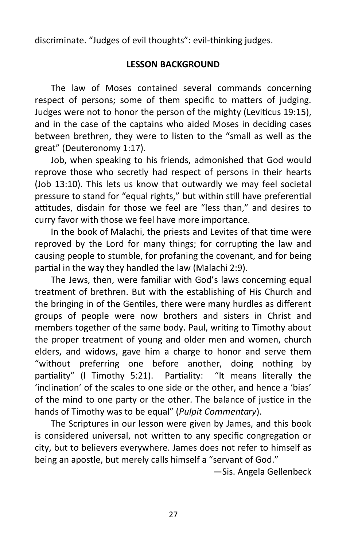discriminate. "Judges of evil thoughts": evil-thinking judges.

## **LESSON BACKGROUND**

The law of Moses contained several commands concerning respect of persons; some of them specific to matters of judging. Judges were not to honor the person of the mighty (Leviticus 19:15), and in the case of the captains who aided Moses in deciding cases between brethren, they were to listen to the "small as well as the great" (Deuteronomy 1:17).

Job, when speaking to his friends, admonished that God would reprove those who secretly had respect of persons in their hearts (Job 13:10). This lets us know that outwardly we may feel societal pressure to stand for "equal rights," but within still have preferential attitudes, disdain for those we feel are "less than," and desires to curry favor with those we feel have more importance.

In the book of Malachi, the priests and Levites of that time were reproved by the Lord for many things; for corrupting the law and causing people to stumble, for profaning the covenant, and for being partial in the way they handled the law (Malachi 2:9).

The Jews, then, were familiar with God's laws concerning equal treatment of brethren. But with the establishing of His Church and the bringing in of the Gentiles, there were many hurdles as different groups of people were now brothers and sisters in Christ and members together of the same body. Paul, writing to Timothy about the proper treatment of young and older men and women, church elders, and widows, gave him a charge to honor and serve them "without preferring one before another, doing nothing by partiality" (I Timothy 5:21). Partiality: "It means literally the 'inclination' of the scales to one side or the other, and hence a 'bias' of the mind to one party or the other. The balance of justice in the hands of Timothy was to be equal" (*Pulpit Commentary*).

The Scriptures in our lesson were given by James, and this book is considered universal, not written to any specific congregation or city, but to believers everywhere. James does not refer to himself as being an apostle, but merely calls himself a "servant of God."

—Sis. Angela Gellenbeck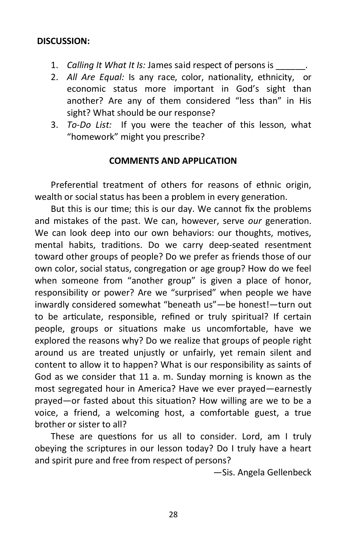## **DISCUSSION:**

- 1. *Calling It What It Is: James said respect of persons is*
- 2. *All Are Equal:* Is any race, color, nationality, ethnicity, or economic status more important in God's sight than another? Are any of them considered "less than" in His sight? What should be our response?
- 3. *To-Do List:* If you were the teacher of this lesson, what "homework" might you prescribe?

#### **COMMENTS AND APPLICATION**

Preferential treatment of others for reasons of ethnic origin, wealth or social status has been a problem in every generation.

But this is our time; this is our day. We cannot fix the problems and mistakes of the past. We can, however, serve *our* generation. We can look deep into our own behaviors: our thoughts, motives, mental habits, traditions. Do we carry deep-seated resentment toward other groups of people? Do we prefer as friends those of our own color, social status, congregation or age group? How do we feel when someone from "another group" is given a place of honor, responsibility or power? Are we "surprised" when people we have inwardly considered somewhat "beneath us"—be honest!—turn out to be articulate, responsible, refined or truly spiritual? If certain people, groups or situations make us uncomfortable, have we explored the reasons why? Do we realize that groups of people right around us are treated unjustly or unfairly, yet remain silent and content to allow it to happen? What is our responsibility as saints of God as we consider that 11 a. m. Sunday morning is known as the most segregated hour in America? Have we ever prayed—earnestly prayed—or fasted about this situation? How willing are we to be a voice, a friend, a welcoming host, a comfortable guest, a true brother or sister to all?

These are questions for us all to consider. Lord, am I truly obeying the scriptures in our lesson today? Do I truly have a heart and spirit pure and free from respect of persons?

—Sis. Angela Gellenbeck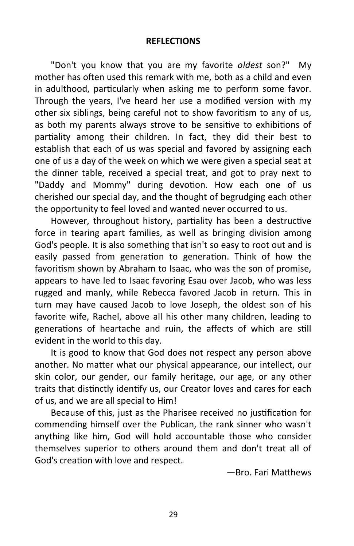#### **REFLECTIONS**

"Don't you know that you are my favorite *oldest* son?" My mother has often used this remark with me, both as a child and even in adulthood, particularly when asking me to perform some favor. Through the years, I've heard her use a modified version with my other six siblings, being careful not to show favoritism to any of us, as both my parents always strove to be sensitive to exhibitions of partiality among their children. In fact, they did their best to establish that each of us was special and favored by assigning each one of us a day of the week on which we were given a special seat at the dinner table, received a special treat, and got to pray next to "Daddy and Mommy" during devotion. How each one of us cherished our special day, and the thought of begrudging each other the opportunity to feel loved and wanted never occurred to us.

However, throughout history, partiality has been a destructive force in tearing apart families, as well as bringing division among God's people. It is also something that isn't so easy to root out and is easily passed from generation to generation. Think of how the favoritism shown by Abraham to Isaac, who was the son of promise, appears to have led to Isaac favoring Esau over Jacob, who was less rugged and manly, while Rebecca favored Jacob in return. This in turn may have caused Jacob to love Joseph, the oldest son of his favorite wife, Rachel, above all his other many children, leading to generations of heartache and ruin, the affects of which are still evident in the world to this day.

It is good to know that God does not respect any person above another. No matter what our physical appearance, our intellect, our skin color, our gender, our family heritage, our age, or any other traits that distinctly identify us, our Creator loves and cares for each of us, and we are all special to Him!

Because of this, just as the Pharisee received no justification for commending himself over the Publican, the rank sinner who wasn't anything like him, God will hold accountable those who consider themselves superior to others around them and don't treat all of God's creation with love and respect.

—Bro. Fari Matthews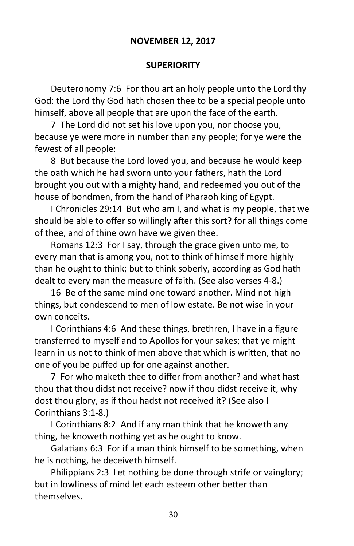## **NOVEMBER 12, 2017**

## **SUPERIORITY**

Deuteronomy 7:6 For thou art an holy people unto the Lord thy God: the Lord thy God hath chosen thee to be a special people unto himself, above all people that are upon the face of the earth.

7 The Lord did not set his love upon you, nor choose you, because ye were more in number than any people; for ye were the fewest of all people:

8 But because the Lord loved you, and because he would keep the oath which he had sworn unto your fathers, hath the Lord brought you out with a mighty hand, and redeemed you out of the house of bondmen, from the hand of Pharaoh king of Egypt.

I Chronicles 29:14 But who am I, and what is my people, that we should be able to offer so willingly after this sort? for all things come of thee, and of thine own have we given thee.

Romans 12:3 For I say, through the grace given unto me, to every man that is among you, not to think of himself more highly than he ought to think; but to think soberly, according as God hath dealt to every man the measure of faith. (See also verses 4-8.)

16 Be of the same mind one toward another. Mind not high things, but condescend to men of low estate. Be not wise in your own conceits.

I Corinthians 4:6 And these things, brethren, I have in a figure transferred to myself and to Apollos for your sakes; that ye might learn in us not to think of men above that which is written, that no one of you be puffed up for one against another.

7 For who maketh thee to differ from another? and what hast thou that thou didst not receive? now if thou didst receive it, why dost thou glory, as if thou hadst not received it? (See also I Corinthians 3:1-8.)

I Corinthians 8:2 And if any man think that he knoweth any thing, he knoweth nothing yet as he ought to know.

Galatians 6:3 For if a man think himself to be something, when he is nothing, he deceiveth himself.

Philippians 2:3 Let nothing be done through strife or vainglory; but in lowliness of mind let each esteem other better than themselves.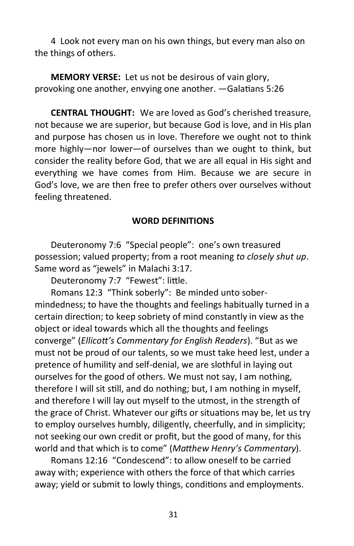4 Look not every man on his own things, but every man also on the things of others.

**MEMORY VERSE:** Let us not be desirous of vain glory, provoking one another, envying one another. —Galatians 5:26

**CENTRAL THOUGHT:** We are loved as God's cherished treasure, not because we are superior, but because God is love, and in His plan and purpose has chosen us in love. Therefore we ought not to think more highly—nor lower—of ourselves than we ought to think, but consider the reality before God, that we are all equal in His sight and everything we have comes from Him. Because we are secure in God's love, we are then free to prefer others over ourselves without feeling threatened.

## **WORD DEFINITIONS**

Deuteronomy 7:6 "Special people": one's own treasured possession; valued property; from a root meaning *to closely shut up*. Same word as "jewels" in Malachi 3:17.

Deuteronomy 7:7 "Fewest": little.

Romans 12:3 "Think soberly": Be minded unto sobermindedness; to have the thoughts and feelings habitually turned in a certain direction; to keep sobriety of mind constantly in view as the object or ideal towards which all the thoughts and feelings converge" (*Ellicott's Commentary for English Readers*). "But as we must not be proud of our talents, so we must take heed lest, under a pretence of humility and self-denial, we are slothful in laying out ourselves for the good of others. We must not say, I am nothing, therefore I will sit still, and do nothing; but, I am nothing in myself, and therefore I will lay out myself to the utmost, in the strength of the grace of Christ. Whatever our gifts or situations may be, let us try to employ ourselves humbly, diligently, cheerfully, and in simplicity; not seeking our own credit or profit, but the good of many, for this world and that which is to come" (*Matthew Henry's Commentary*).

Romans 12:16 "Condescend": to allow oneself to be carried away with; experience with others the force of that which carries away; yield or submit to lowly things, conditions and employments.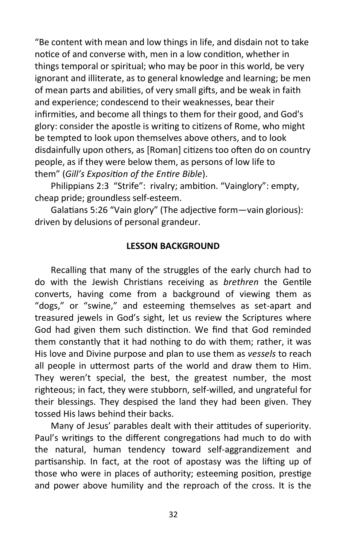"Be content with mean and low things in life, and disdain not to take notice of and converse with, men in a low condition, whether in things temporal or spiritual; who may be poor in this world, be very ignorant and illiterate, as to general knowledge and learning; be men of mean parts and abilities, of very small gifts, and be weak in faith and experience; condescend to their weaknesses, bear their infirmities, and become all things to them for their good, and God's glory: consider the apostle is writing to citizens of Rome, who might be tempted to look upon themselves above others, and to look disdainfully upon others, as [Roman] citizens too often do on country people, as if they were below them, as persons of low life to them" (*Gill's Exposition of the Entire Bible*).

Philippians 2:3 "Strife": rivalry; ambition. "Vainglory": empty, cheap pride; groundless self-esteem.

Galatians 5:26 "Vain glory" (The adjective form—vain glorious): driven by delusions of personal grandeur.

## **LESSON BACKGROUND**

Recalling that many of the struggles of the early church had to do with the Jewish Christians receiving as *brethren* the Gentile converts, having come from a background of viewing them as "dogs," or "swine," and esteeming themselves as set-apart and treasured jewels in God's sight, let us review the Scriptures where God had given them such distinction. We find that God reminded them constantly that it had nothing to do with them; rather, it was His love and Divine purpose and plan to use them as *vessels* to reach all people in uttermost parts of the world and draw them to Him. They weren't special, the best, the greatest number, the most righteous; in fact, they were stubborn, self-willed, and ungrateful for their blessings. They despised the land they had been given. They tossed His laws behind their backs.

Many of Jesus' parables dealt with their attitudes of superiority. Paul's writings to the different congregations had much to do with the natural, human tendency toward self-aggrandizement and partisanship. In fact, at the root of apostasy was the lifting up of those who were in places of authority; esteeming position, prestige and power above humility and the reproach of the cross. It is the

32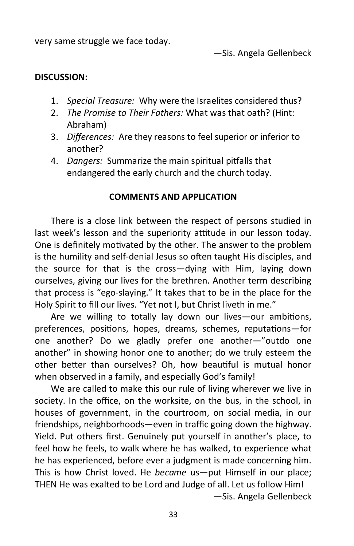very same struggle we face today.

—Sis. Angela Gellenbeck

## **DISCUSSION:**

- 1. *Special Treasure:* Why were the Israelites considered thus?
- 2. *The Promise to Their Fathers:* What was that oath? (Hint: Abraham)
- 3. *Differences:* Are they reasons to feel superior or inferior to another?
- 4. *Dangers:* Summarize the main spiritual pitfalls that endangered the early church and the church today.

## **COMMENTS AND APPLICATION**

There is a close link between the respect of persons studied in last week's lesson and the superiority attitude in our lesson today. One is definitely motivated by the other. The answer to the problem is the humility and self-denial Jesus so often taught His disciples, and the source for that is the cross—dying with Him, laying down ourselves, giving our lives for the brethren. Another term describing that process is "ego-slaying." It takes that to be in the place for the Holy Spirit to fill our lives. "Yet not I, but Christ liveth in me."

Are we willing to totally lay down our lives—our ambitions, preferences, positions, hopes, dreams, schemes, reputations—for one another? Do we gladly prefer one another—"outdo one another" in showing honor one to another; do we truly esteem the other better than ourselves? Oh, how beautiful is mutual honor when observed in a family, and especially God's family!

We are called to make this our rule of living wherever we live in society. In the office, on the worksite, on the bus, in the school, in houses of government, in the courtroom, on social media, in our friendships, neighborhoods—even in traffic going down the highway. Yield. Put others first. Genuinely put yourself in another's place, to feel how he feels, to walk where he has walked, to experience what he has experienced, before ever a judgment is made concerning him. This is how Christ loved. He *became* us—put Himself in our place; THEN He was exalted to be Lord and Judge of all. Let us follow Him!

—Sis. Angela Gellenbeck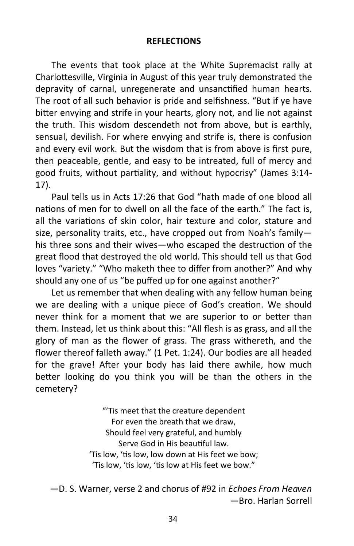#### **REFLECTIONS**

The events that took place at the White Supremacist rally at Charlottesville, Virginia in August of this year truly demonstrated the depravity of carnal, unregenerate and unsanctified human hearts. The root of all such behavior is pride and selfishness. "But if ye have bitter envying and strife in your hearts, glory not, and lie not against the truth. This wisdom descendeth not from above, but is earthly, sensual, devilish. For where envying and strife is, there is confusion and every evil work. But the wisdom that is from above is first pure, then peaceable, gentle, and easy to be intreated, full of mercy and good fruits, without partiality, and without hypocrisy" (James 3:14- 17).

Paul tells us in Acts 17:26 that God "hath made of one blood all nations of men for to dwell on all the face of the earth." The fact is, all the variations of skin color, hair texture and color, stature and size, personality traits, etc., have cropped out from Noah's family his three sons and their wives—who escaped the destruction of the great flood that destroyed the old world. This should tell us that God loves "variety." "Who maketh thee to differ from another?" And why should any one of us "be puffed up for one against another?"

Let us remember that when dealing with any fellow human being we are dealing with a unique piece of God's creation. We should never think for a moment that we are superior to or better than them. Instead, let us think about this: "All flesh is as grass, and all the glory of man as the flower of grass. The grass withereth, and the flower thereof falleth away." (1 Pet. 1:24). Our bodies are all headed for the grave! After your body has laid there awhile, how much better looking do you think you will be than the others in the cemetery?

> "'Tis meet that the creature dependent For even the breath that we draw, Should feel very grateful, and humbly Serve God in His beautiful law. 'Tis low, 'tis low, low down at His feet we bow; 'Tis low, 'tis low, 'tis low at His feet we bow."

—D. S. Warner, verse 2 and chorus of #92 in *Echoes From Heaven*  —Bro. Harlan Sorrell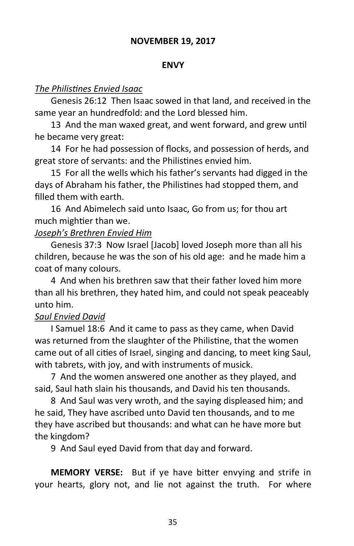### **NOVEMBER 19, 2017**

#### **ENVY**

#### *The Philistines Envied Isaac*

Genesis 26:12 Then Isaac sowed in that land, and received in the same year an hundredfold: and the Lord blessed him.

13 And the man waxed great, and went forward, and grew until he became very great:

14 For he had possession of flocks, and possession of herds, and great store of servants: and the Philistines envied him.

15 For all the wells which his father's servants had digged in the days of Abraham his father, the Philistines had stopped them, and filled them with earth.

16 And Abimelech said unto Isaac, Go from us; for thou art much mightier than we.

#### *Joseph's Brethren Envied Him*

Genesis 37:3 Now Israel [Jacob] loved Joseph more than all his children, because he was the son of his old age: and he made him a coat of many colours.

4 And when his brethren saw that their father loved him more than all his brethren, they hated him, and could not speak peaceably unto him.

### *Saul Envied David*

I Samuel 18:6 And it came to pass as they came, when David was returned from the slaughter of the Philistine, that the women came out of all cities of Israel, singing and dancing, to meet king Saul, with tabrets, with joy, and with instruments of musick.

7 And the women answered one another as they played, and said, Saul hath slain his thousands, and David his ten thousands.

8 And Saul was very wroth, and the saying displeased him; and he said, They have ascribed unto David ten thousands, and to me they have ascribed but thousands: and what can he have more but the kingdom?

9 And Saul eyed David from that day and forward.

**MEMORY VERSE:** But if ye have bitter envying and strife in your hearts, glory not, and lie not against the truth. For where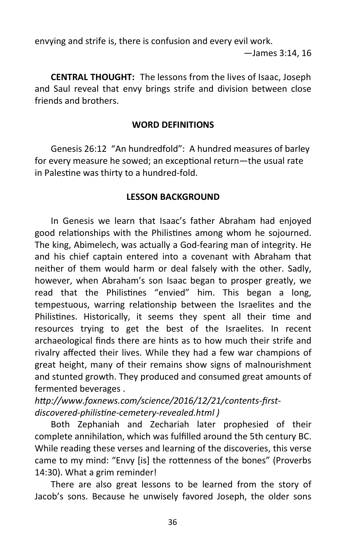envying and strife is, there is confusion and every evil work. —James 3:14, 16

**CENTRAL THOUGHT:** The lessons from the lives of Isaac, Joseph and Saul reveal that envy brings strife and division between close friends and brothers.

#### **WORD DEFINITIONS**

Genesis 26:12 "An hundredfold": A hundred measures of barley for every measure he sowed; an exceptional return—the usual rate in Palestine was thirty to a hundred-fold.

#### **LESSON BACKGROUND**

In Genesis we learn that Isaac's father Abraham had enjoyed good relationships with the Philistines among whom he sojourned. The king, Abimelech, was actually a God-fearing man of integrity. He and his chief captain entered into a covenant with Abraham that neither of them would harm or deal falsely with the other. Sadly, however, when Abraham's son Isaac began to prosper greatly, we read that the Philistines "envied" him. This began a long, tempestuous, warring relationship between the Israelites and the Philistines. Historically, it seems they spent all their time and resources trying to get the best of the Israelites. In recent archaeological finds there are hints as to how much their strife and rivalry affected their lives. While they had a few war champions of great height, many of their remains show signs of malnourishment and stunted growth. They produced and consumed great amounts of fermented beverages .

*http://www.foxnews.com/science/2016/12/21/contents-firstdiscovered-philistine-cemetery-revealed.html )*

Both Zephaniah and Zechariah later prophesied of their complete annihilation, which was fulfilled around the 5th century BC. While reading these verses and learning of the discoveries, this verse came to my mind: "Envy [is] the rottenness of the bones" (Proverbs 14:30). What a grim reminder!

There are also great lessons to be learned from the story of Jacob's sons. Because he unwisely favored Joseph, the older sons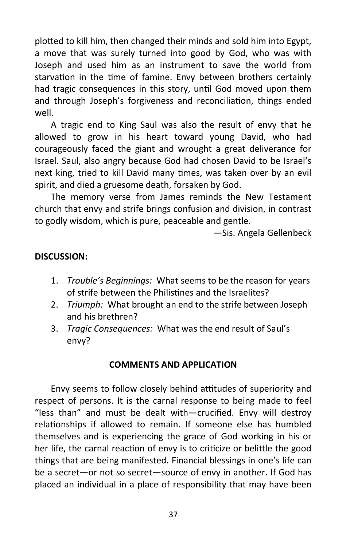plotted to kill him, then changed their minds and sold him into Egypt, a move that was surely turned into good by God, who was with Joseph and used him as an instrument to save the world from starvation in the time of famine. Envy between brothers certainly had tragic consequences in this story, until God moved upon them and through Joseph's forgiveness and reconciliation, things ended well.

A tragic end to King Saul was also the result of envy that he allowed to grow in his heart toward young David, who had courageously faced the giant and wrought a great deliverance for Israel. Saul, also angry because God had chosen David to be Israel's next king, tried to kill David many times, was taken over by an evil spirit, and died a gruesome death, forsaken by God.

The memory verse from James reminds the New Testament church that envy and strife brings confusion and division, in contrast to godly wisdom, which is pure, peaceable and gentle.

—Sis. Angela Gellenbeck

## **DISCUSSION:**

- 1. *Trouble's Beginnings:* What seems to be the reason for years of strife between the Philistines and the Israelites?
- 2. *Triumph:* What brought an end to the strife between Joseph and his brethren?
- 3. *Tragic Consequences:* What was the end result of Saul's envy?

## **COMMENTS AND APPLICATION**

Envy seems to follow closely behind attitudes of superiority and respect of persons. It is the carnal response to being made to feel "less than" and must be dealt with—crucified. Envy will destroy relationships if allowed to remain. If someone else has humbled themselves and is experiencing the grace of God working in his or her life, the carnal reaction of envy is to criticize or belittle the good things that are being manifested. Financial blessings in one's life can be a secret—or not so secret—source of envy in another. If God has placed an individual in a place of responsibility that may have been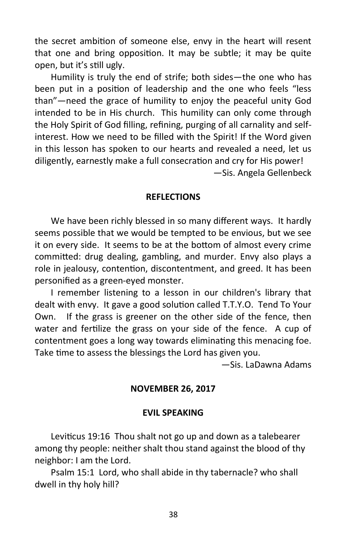the secret ambition of someone else, envy in the heart will resent that one and bring opposition. It may be subtle; it may be quite open, but it's still ugly.

Humility is truly the end of strife; both sides—the one who has been put in a position of leadership and the one who feels "less than"—need the grace of humility to enjoy the peaceful unity God intended to be in His church. This humility can only come through the Holy Spirit of God filling, refining, purging of all carnality and selfinterest. How we need to be filled with the Spirit! If the Word given in this lesson has spoken to our hearts and revealed a need, let us diligently, earnestly make a full consecration and cry for His power! —Sis. Angela Gellenbeck

#### **REFLECTIONS**

We have been richly blessed in so many different ways. It hardly seems possible that we would be tempted to be envious, but we see it on every side. It seems to be at the bottom of almost every crime committed: drug dealing, gambling, and murder. Envy also plays a role in jealousy, contention, discontentment, and greed. It has been personified as a green-eyed monster.

I remember listening to a lesson in our children's library that dealt with envy. It gave a good solution called T.T.Y.O. Tend To Your Own. If the grass is greener on the other side of the fence, then water and fertilize the grass on your side of the fence. A cup of contentment goes a long way towards eliminating this menacing foe. Take time to assess the blessings the Lord has given you.

—Sis. LaDawna Adams

#### **NOVEMBER 26, 2017**

#### **EVIL SPEAKING**

Leviticus 19:16 Thou shalt not go up and down as a talebearer among thy people: neither shalt thou stand against the blood of thy neighbor: I am the Lord.

Psalm 15:1 Lord, who shall abide in thy tabernacle? who shall dwell in thy holy hill?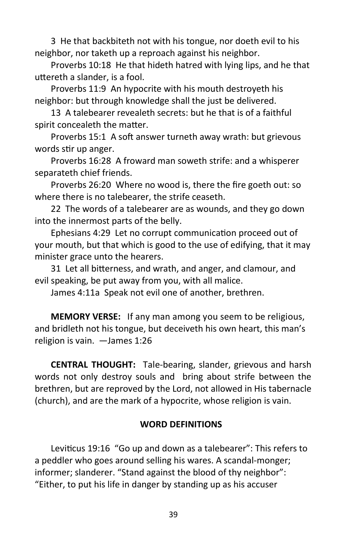3 He that backbiteth not with his tongue, nor doeth evil to his neighbor, nor taketh up a reproach against his neighbor.

Proverbs 10:18 He that hideth hatred with lying lips, and he that uttereth a slander, is a fool.

Proverbs 11:9 An hypocrite with his mouth destroyeth his neighbor: but through knowledge shall the just be delivered.

13 A talebearer revealeth secrets: but he that is of a faithful spirit concealeth the matter.

Proverbs 15:1 A soft answer turneth away wrath: but grievous words stir up anger.

Proverbs 16:28 A froward man soweth strife: and a whisperer separateth chief friends.

Proverbs 26:20 Where no wood is, there the fire goeth out: so where there is no talebearer, the strife ceaseth.

22 The words of a talebearer are as wounds, and they go down into the innermost parts of the belly.

Ephesians 4:29 Let no corrupt communication proceed out of your mouth, but that which is good to the use of edifying, that it may minister grace unto the hearers.

31 Let all bitterness, and wrath, and anger, and clamour, and evil speaking, be put away from you, with all malice.

James 4:11a Speak not evil one of another, brethren.

**MEMORY VERSE:** If any man among you seem to be religious, and bridleth not his tongue, but deceiveth his own heart, this man's religion is vain. —James 1:26

**CENTRAL THOUGHT:** Tale-bearing, slander, grievous and harsh words not only destroy souls and bring about strife between the brethren, but are reproved by the Lord, not allowed in His tabernacle (church), and are the mark of a hypocrite, whose religion is vain.

## **WORD DEFINITIONS**

Leviticus 19:16 "Go up and down as a talebearer": This refers to a peddler who goes around selling his wares. A scandal-monger; informer; slanderer. "Stand against the blood of thy neighbor": "Either, to put his life in danger by standing up as his accuser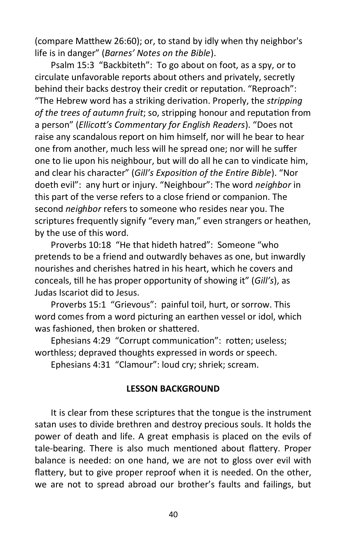(compare Matthew 26:60); or, to stand by idly when thy neighbor's life is in danger" (*Barnes' Notes on the Bible*).

Psalm 15:3 "Backbiteth": To go about on foot, as a spy, or to circulate unfavorable reports about others and privately, secretly behind their backs destroy their credit or reputation. "Reproach": "The Hebrew word has a striking derivation. Properly, the *stripping of the trees of autumn fruit*; so, stripping honour and reputation from a person" (*Ellicott's Commentary for English Readers*). "Does not raise any scandalous report on him himself, nor will he bear to hear one from another, much less will he spread one; nor will he suffer one to lie upon his neighbour, but will do all he can to vindicate him, and clear his character" (*Gill's Exposition of the Entire Bible*). "Nor doeth evil": any hurt or injury. "Neighbour": The word *neighbor* in this part of the verse refers to a close friend or companion. The second *neighbor* refers to someone who resides near you. The scriptures frequently signify "every man," even strangers or heathen, by the use of this word.

Proverbs 10:18 "He that hideth hatred": Someone "who pretends to be a friend and outwardly behaves as one, but inwardly nourishes and cherishes hatred in his heart, which he covers and conceals, till he has proper opportunity of showing it" (*Gill's*), as Judas Iscariot did to Jesus.

Proverbs 15:1 "Grievous": painful toil, hurt, or sorrow. This word comes from a word picturing an earthen vessel or idol, which was fashioned, then broken or shattered.

Ephesians 4:29 "Corrupt communication": rotten; useless; worthless; depraved thoughts expressed in words or speech.

Ephesians 4:31 "Clamour": loud cry; shriek; scream.

#### **LESSON BACKGROUND**

It is clear from these scriptures that the tongue is the instrument satan uses to divide brethren and destroy precious souls. It holds the power of death and life. A great emphasis is placed on the evils of tale-bearing. There is also much mentioned about flattery. Proper balance is needed: on one hand, we are not to gloss over evil with flattery, but to give proper reproof when it is needed. On the other, we are not to spread abroad our brother's faults and failings, but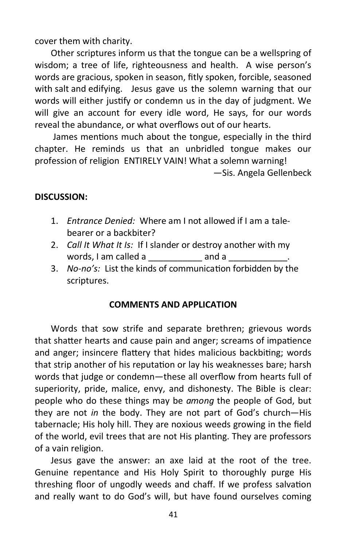cover them with charity.

Other scriptures inform us that the tongue can be a wellspring of wisdom; a tree of life, righteousness and health. A wise person's words are gracious, spoken in season, fitly spoken, forcible, seasoned with salt and edifying. Jesus gave us the solemn warning that our words will either justify or condemn us in the day of judgment. We will give an account for every idle word, He says, for our words reveal the abundance, or what overflows out of our hearts.

James mentions much about the tongue, especially in the third chapter. He reminds us that an unbridled tongue makes our profession of religion ENTIRELY VAIN! What a solemn warning! —Sis. Angela Gellenbeck

## **DISCUSSION:**

- 1. *Entrance Denied:* Where am I not allowed if I am a talebearer or a backbiter?
- 2. *Call It What It Is:* If I slander or destroy another with my words, I am called a can be and a can be and a set of  $\alpha$  and a set of  $\alpha$
- 3. *No-no's:* List the kinds of communication forbidden by the scriptures.

#### **COMMENTS AND APPLICATION**

Words that sow strife and separate brethren; grievous words that shatter hearts and cause pain and anger; screams of impatience and anger; insincere flattery that hides malicious backbiting; words that strip another of his reputation or lay his weaknesses bare; harsh words that judge or condemn—these all overflow from hearts full of superiority, pride, malice, envy, and dishonesty. The Bible is clear: people who do these things may be *among* the people of God, but they are not *in* the body. They are not part of God's church—His tabernacle; His holy hill. They are noxious weeds growing in the field of the world, evil trees that are not His planting. They are professors of a vain religion.

Jesus gave the answer: an axe laid at the root of the tree. Genuine repentance and His Holy Spirit to thoroughly purge His threshing floor of ungodly weeds and chaff. If we profess salvation and really want to do God's will, but have found ourselves coming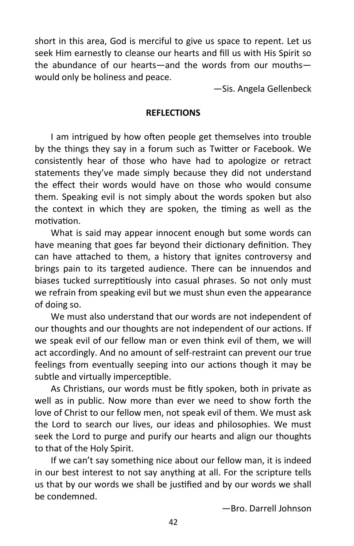short in this area, God is merciful to give us space to repent. Let us seek Him earnestly to cleanse our hearts and fill us with His Spirit so the abundance of our hearts—and the words from our mouths would only be holiness and peace.

—Sis. Angela Gellenbeck

### **REFLECTIONS**

I am intrigued by how often people get themselves into trouble by the things they say in a forum such as Twitter or Facebook. We consistently hear of those who have had to apologize or retract statements they've made simply because they did not understand the effect their words would have on those who would consume them. Speaking evil is not simply about the words spoken but also the context in which they are spoken, the timing as well as the motivation.

What is said may appear innocent enough but some words can have meaning that goes far beyond their dictionary definition. They can have attached to them, a history that ignites controversy and brings pain to its targeted audience. There can be innuendos and biases tucked surreptitiously into casual phrases. So not only must we refrain from speaking evil but we must shun even the appearance of doing so.

We must also understand that our words are not independent of our thoughts and our thoughts are not independent of our actions. If we speak evil of our fellow man or even think evil of them, we will act accordingly. And no amount of self-restraint can prevent our true feelings from eventually seeping into our actions though it may be subtle and virtually imperceptible.

As Christians, our words must be fitly spoken, both in private as well as in public. Now more than ever we need to show forth the love of Christ to our fellow men, not speak evil of them. We must ask the Lord to search our lives, our ideas and philosophies. We must seek the Lord to purge and purify our hearts and align our thoughts to that of the Holy Spirit.

If we can't say something nice about our fellow man, it is indeed in our best interest to not say anything at all. For the scripture tells us that by our words we shall be justified and by our words we shall be condemned.

—Bro. Darrell Johnson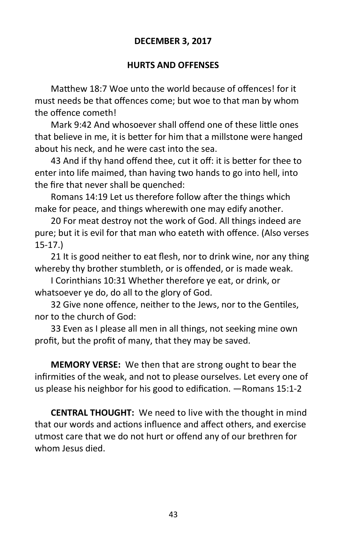# **DECEMBER 3, 2017**

#### **HURTS AND OFFENSES**

Matthew 18:7 Woe unto the world because of offences! for it must needs be that offences come; but woe to that man by whom the offence cometh!

Mark 9:42 And whosoever shall offend one of these little ones that believe in me, it is better for him that a millstone were hanged about his neck, and he were cast into the sea.

43 And if thy hand offend thee, cut it off: it is better for thee to enter into life maimed, than having two hands to go into hell, into the fire that never shall be quenched:

Romans 14:19 Let us therefore follow after the things which make for peace, and things wherewith one may edify another.

20 For meat destroy not the work of God. All things indeed are pure; but it is evil for that man who eateth with offence. (Also verses 15-17.)

21 It is good neither to eat flesh, nor to drink wine, nor any thing whereby thy brother stumbleth, or is offended, or is made weak.

I Corinthians 10:31 Whether therefore ye eat, or drink, or whatsoever ye do, do all to the glory of God.

32 Give none offence, neither to the Jews, nor to the Gentiles, nor to the church of God:

33 Even as I please all men in all things, not seeking mine own profit, but the profit of many, that they may be saved.

**MEMORY VERSE:** We then that are strong ought to bear the infirmities of the weak, and not to please ourselves. Let every one of us please his neighbor for his good to edification. —Romans 15:1-2

**CENTRAL THOUGHT:** We need to live with the thought in mind that our words and actions influence and affect others, and exercise utmost care that we do not hurt or offend any of our brethren for whom Jesus died.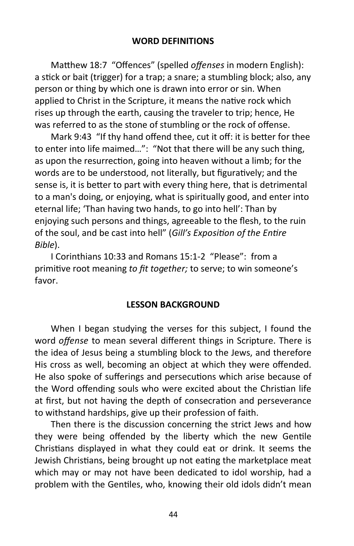Matthew 18:7 "Offences" (spelled *offenses* in modern English): a stick or bait (trigger) for a trap; a snare; a stumbling block; also, any person or thing by which one is drawn into error or sin. When applied to Christ in the Scripture, it means the native rock which rises up through the earth, causing the traveler to trip; hence, He was referred to as the stone of stumbling or the rock of offense.

Mark 9:43 "If thy hand offend thee, cut it off: it is better for thee to enter into life maimed…": "Not that there will be any such thing, as upon the resurrection, going into heaven without a limb; for the words are to be understood, not literally, but figuratively; and the sense is, it is better to part with every thing here, that is detrimental to a man's doing, or enjoying, what is spiritually good, and enter into eternal life; 'Than having two hands, to go into hell': Than by enjoying such persons and things, agreeable to the flesh, to the ruin of the soul, and be cast into hell" (*Gill's Exposition of the Entire Bible*).

I Corinthians 10:33 and Romans 15:1-2 "Please": from a primitive root meaning *to fit together;* to serve; to win someone's favor.

#### **LESSON BACKGROUND**

When I began studying the verses for this subject, I found the word *offense* to mean several different things in Scripture. There is the idea of Jesus being a stumbling block to the Jews, and therefore His cross as well, becoming an object at which they were offended. He also spoke of sufferings and persecutions which arise because of the Word offending souls who were excited about the Christian life at first, but not having the depth of consecration and perseverance to withstand hardships, give up their profession of faith.

Then there is the discussion concerning the strict Jews and how they were being offended by the liberty which the new Gentile Christians displayed in what they could eat or drink. It seems the Jewish Christians, being brought up not eating the marketplace meat which may or may not have been dedicated to idol worship, had a problem with the Gentiles, who, knowing their old idols didn't mean

44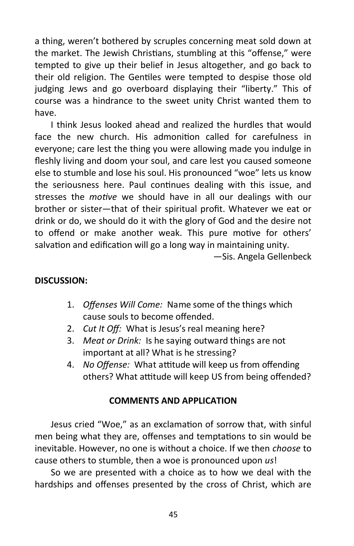a thing, weren't bothered by scruples concerning meat sold down at the market. The Jewish Christians, stumbling at this "offense," were tempted to give up their belief in Jesus altogether, and go back to their old religion. The Gentiles were tempted to despise those old judging Jews and go overboard displaying their "liberty." This of course was a hindrance to the sweet unity Christ wanted them to have.

I think Jesus looked ahead and realized the hurdles that would face the new church. His admonition called for carefulness in everyone; care lest the thing you were allowing made you indulge in fleshly living and doom your soul, and care lest you caused someone else to stumble and lose his soul. His pronounced "woe" lets us know the seriousness here. Paul continues dealing with this issue, and stresses the *motive* we should have in all our dealings with our brother or sister—that of their spiritual profit. Whatever we eat or drink or do, we should do it with the glory of God and the desire not to offend or make another weak. This pure motive for others' salvation and edification will go a long way in maintaining unity.

—Sis. Angela Gellenbeck

## **DISCUSSION:**

- 1. *Offenses Will Come:* Name some of the things which cause souls to become offended.
- 2. *Cut It Off:* What is Jesus's real meaning here?
- 3. *Meat or Drink:* Is he saying outward things are not important at all? What is he stressing?
- 4. *No Offense:* What attitude will keep us from offending others? What attitude will keep US from being offended?

## **COMMENTS AND APPLICATION**

Jesus cried "Woe," as an exclamation of sorrow that, with sinful men being what they are, offenses and temptations to sin would be inevitable. However, no one is without a choice. If we then *choose* to cause others to stumble, then a woe is pronounced upon *us*!

So we are presented with a choice as to how we deal with the hardships and offenses presented by the cross of Christ, which are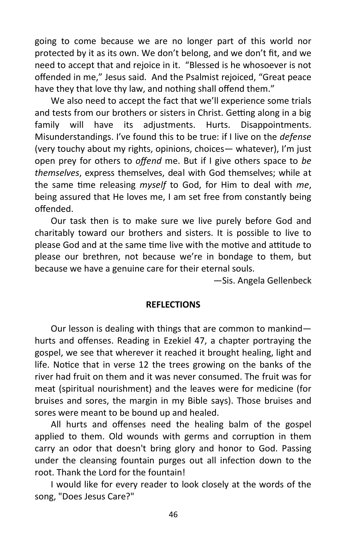going to come because we are no longer part of this world nor protected by it as its own. We don't belong, and we don't fit, and we need to accept that and rejoice in it. "Blessed is he whosoever is not offended in me," Jesus said. And the Psalmist rejoiced, "Great peace have they that love thy law, and nothing shall offend them."

We also need to accept the fact that we'll experience some trials and tests from our brothers or sisters in Christ. Getting along in a big family will have its adjustments. Hurts. Disappointments. Misunderstandings. I've found this to be true: if I live on the *defense* (very touchy about my rights, opinions, choices— whatever), I'm just open prey for others to *offend* me. But if I give others space to *be themselves*, express themselves, deal with God themselves; while at the same time releasing *myself* to God, for Him to deal with *me*, being assured that He loves me, I am set free from constantly being offended.

Our task then is to make sure we live purely before God and charitably toward our brothers and sisters. It is possible to live to please God and at the same time live with the motive and attitude to please our brethren, not because we're in bondage to them, but because we have a genuine care for their eternal souls.

—Sis. Angela Gellenbeck

#### **REFLECTIONS**

Our lesson is dealing with things that are common to mankind hurts and offenses. Reading in Ezekiel 47, a chapter portraying the gospel, we see that wherever it reached it brought healing, light and life. Notice that in verse 12 the trees growing on the banks of the river had fruit on them and it was never consumed. The fruit was for meat (spiritual nourishment) and the leaves were for medicine (for bruises and sores, the margin in my Bible says). Those bruises and sores were meant to be bound up and healed.

All hurts and offenses need the healing balm of the gospel applied to them. Old wounds with germs and corruption in them carry an odor that doesn't bring glory and honor to God. Passing under the cleansing fountain purges out all infection down to the root. Thank the Lord for the fountain!

I would like for every reader to look closely at the words of the song, "Does Jesus Care?"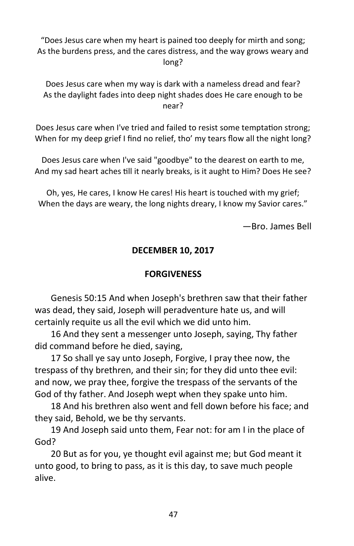"Does Jesus care when my heart is pained too deeply for mirth and song; As the burdens press, and the cares distress, and the way grows weary and long?

### Does Jesus care when my way is dark with a nameless dread and fear? As the daylight fades into deep night shades does He care enough to be near?

Does Jesus care when I've tried and failed to resist some temptation strong; When for my deep grief I find no relief, tho' my tears flow all the night long?

Does Jesus care when I've said "goodbye" to the dearest on earth to me, And my sad heart aches till it nearly breaks, is it aught to Him? Does He see?

Oh, yes, He cares, I know He cares! His heart is touched with my grief; When the days are weary, the long nights dreary, I know my Savior cares."

—Bro. James Bell

# **DECEMBER 10, 2017**

# **FORGIVENESS**

Genesis 50:15 And when Joseph's brethren saw that their father was dead, they said, Joseph will peradventure hate us, and will certainly requite us all the evil which we did unto him.

16 And they sent a messenger unto Joseph, saying, Thy father did command before he died, saying,

17 So shall ye say unto Joseph, Forgive, I pray thee now, the trespass of thy brethren, and their sin; for they did unto thee evil: and now, we pray thee, forgive the trespass of the servants of the God of thy father. And Joseph wept when they spake unto him.

18 And his brethren also went and fell down before his face; and they said, Behold, we be thy servants.

19 And Joseph said unto them, Fear not: for am I in the place of God?

20 But as for you, ye thought evil against me; but God meant it unto good, to bring to pass, as it is this day, to save much people alive.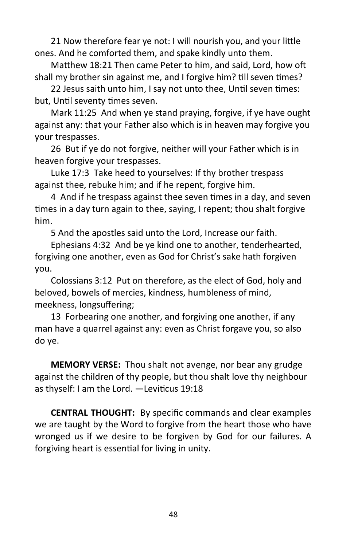21 Now therefore fear ye not: I will nourish you, and your little ones. And he comforted them, and spake kindly unto them.

Matthew 18:21 Then came Peter to him, and said, Lord, how oft shall my brother sin against me, and I forgive him? till seven times?

22 Jesus saith unto him, I say not unto thee, Until seven times: but, Until seventy times seven.

Mark 11:25 And when ye stand praying, forgive, if ye have ought against any: that your Father also which is in heaven may forgive you your trespasses.

26 But if ye do not forgive, neither will your Father which is in heaven forgive your trespasses.

Luke 17:3 Take heed to yourselves: If thy brother trespass against thee, rebuke him; and if he repent, forgive him.

4 And if he trespass against thee seven times in a day, and seven times in a day turn again to thee, saying, I repent; thou shalt forgive him.

5 And the apostles said unto the Lord, Increase our faith.

Ephesians 4:32 And be ye kind one to another, tenderhearted, forgiving one another, even as God for Christ's sake hath forgiven you.

Colossians 3:12 Put on therefore, as the elect of God, holy and beloved, bowels of mercies, kindness, humbleness of mind, meekness, longsuffering;

13 Forbearing one another, and forgiving one another, if any man have a quarrel against any: even as Christ forgave you, so also do ye.

**MEMORY VERSE:** Thou shalt not avenge, nor bear any grudge against the children of thy people, but thou shalt love thy neighbour as thyself: I am the Lord. —Leviticus 19:18

**CENTRAL THOUGHT:** By specific commands and clear examples we are taught by the Word to forgive from the heart those who have wronged us if we desire to be forgiven by God for our failures. A forgiving heart is essential for living in unity.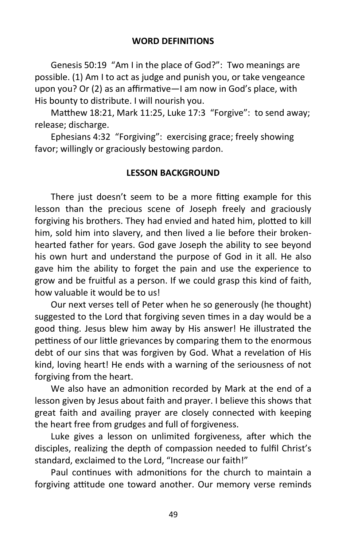Genesis 50:19 "Am I in the place of God?": Two meanings are possible. (1) Am I to act as judge and punish you, or take vengeance upon you? Or (2) as an affirmative—I am now in God's place, with His bounty to distribute. I will nourish you.

Matthew 18:21, Mark 11:25, Luke 17:3 "Forgive": to send away; release; discharge.

Ephesians 4:32 "Forgiving": exercising grace; freely showing favor; willingly or graciously bestowing pardon.

#### **LESSON BACKGROUND**

There just doesn't seem to be a more fitting example for this lesson than the precious scene of Joseph freely and graciously forgiving his brothers. They had envied and hated him, plotted to kill him, sold him into slavery, and then lived a lie before their brokenhearted father for years. God gave Joseph the ability to see beyond his own hurt and understand the purpose of God in it all. He also gave him the ability to forget the pain and use the experience to grow and be fruitful as a person. If we could grasp this kind of faith, how valuable it would be to us!

Our next verses tell of Peter when he so generously (he thought) suggested to the Lord that forgiving seven times in a day would be a good thing. Jesus blew him away by His answer! He illustrated the pettiness of our little grievances by comparing them to the enormous debt of our sins that was forgiven by God. What a revelation of His kind, loving heart! He ends with a warning of the seriousness of not forgiving from the heart.

We also have an admonition recorded by Mark at the end of a lesson given by Jesus about faith and prayer. I believe this shows that great faith and availing prayer are closely connected with keeping the heart free from grudges and full of forgiveness.

Luke gives a lesson on unlimited forgiveness, after which the disciples, realizing the depth of compassion needed to fulfil Christ's standard, exclaimed to the Lord, "Increase our faith!"

Paul continues with admonitions for the church to maintain a forgiving attitude one toward another. Our memory verse reminds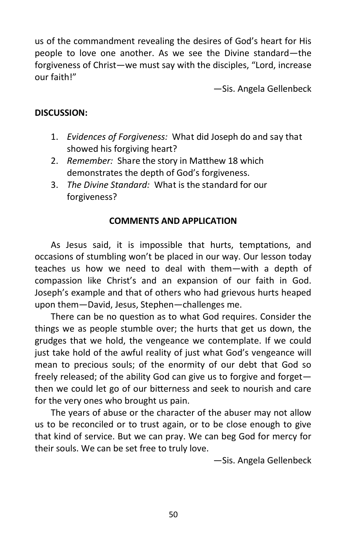us of the commandment revealing the desires of God's heart for His people to love one another. As we see the Divine standard—the forgiveness of Christ—we must say with the disciples, "Lord, increase our faith!"

—Sis. Angela Gellenbeck

# **DISCUSSION:**

- 1. *Evidences of Forgiveness:* What did Joseph do and say that showed his forgiving heart?
- 2. *Remember:* Share the story in Matthew 18 which demonstrates the depth of God's forgiveness.
- 3. *The Divine Standard:* What is the standard for our forgiveness?

## **COMMENTS AND APPLICATION**

As Jesus said, it is impossible that hurts, temptations, and occasions of stumbling won't be placed in our way. Our lesson today teaches us how we need to deal with them—with a depth of compassion like Christ's and an expansion of our faith in God. Joseph's example and that of others who had grievous hurts heaped upon them—David, Jesus, Stephen—challenges me.

There can be no question as to what God requires. Consider the things we as people stumble over; the hurts that get us down, the grudges that we hold, the vengeance we contemplate. If we could just take hold of the awful reality of just what God's vengeance will mean to precious souls; of the enormity of our debt that God so freely released; of the ability God can give us to forgive and forget then we could let go of our bitterness and seek to nourish and care for the very ones who brought us pain.

The years of abuse or the character of the abuser may not allow us to be reconciled or to trust again, or to be close enough to give that kind of service. But we can pray. We can beg God for mercy for their souls. We can be set free to truly love.

—Sis. Angela Gellenbeck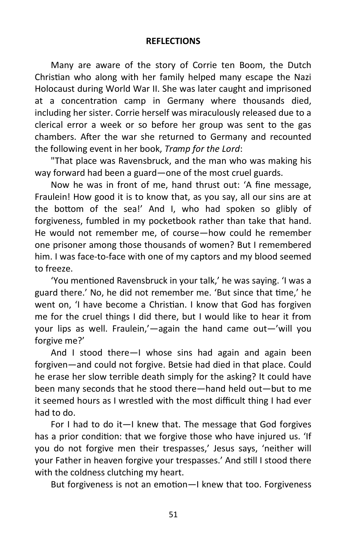### **REFLECTIONS**

Many are aware of the story of Corrie ten Boom, the Dutch Christian who along with her family helped many escape the Nazi Holocaust during World War II. She was later caught and imprisoned at a concentration camp in Germany where thousands died, including her sister. Corrie herself was miraculously released due to a clerical error a week or so before her group was sent to the gas chambers. After the war she returned to Germany and recounted the following event in her book, *Tramp for the Lord*:

"That place was Ravensbruck, and the man who was making his way forward had been a guard—one of the most cruel guards.

Now he was in front of me, hand thrust out: 'A fine message, Fraulein! How good it is to know that, as you say, all our sins are at the bottom of the sea!' And I, who had spoken so glibly of forgiveness, fumbled in my pocketbook rather than take that hand. He would not remember me, of course—how could he remember one prisoner among those thousands of women? But I remembered him. I was face-to-face with one of my captors and my blood seemed to freeze.

'You mentioned Ravensbruck in your talk,' he was saying. 'I was a guard there.' No, he did not remember me. 'But since that time,' he went on, 'I have become a Christian. I know that God has forgiven me for the cruel things I did there, but I would like to hear it from your lips as well. Fraulein,'—again the hand came out—'will you forgive me?'

And I stood there—I whose sins had again and again been forgiven—and could not forgive. Betsie had died in that place. Could he erase her slow terrible death simply for the asking? It could have been many seconds that he stood there—hand held out—but to me it seemed hours as I wrestled with the most difficult thing I had ever had to do.

For I had to do it—I knew that. The message that God forgives has a prior condition: that we forgive those who have injured us. 'If you do not forgive men their trespasses,' Jesus says, 'neither will your Father in heaven forgive your trespasses.' And still I stood there with the coldness clutching my heart.

But forgiveness is not an emotion—I knew that too. Forgiveness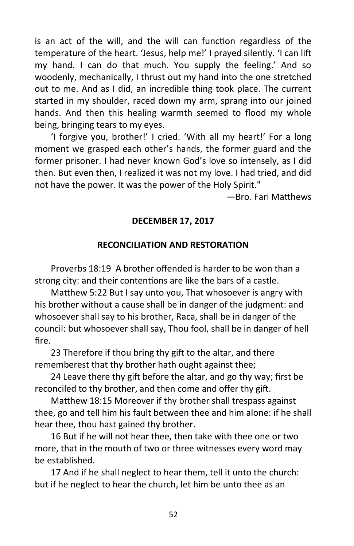is an act of the will, and the will can function regardless of the temperature of the heart. 'Jesus, help me!' I prayed silently. 'I can lift my hand. I can do that much. You supply the feeling.' And so woodenly, mechanically, I thrust out my hand into the one stretched out to me. And as I did, an incredible thing took place. The current started in my shoulder, raced down my arm, sprang into our joined hands. And then this healing warmth seemed to flood my whole being, bringing tears to my eyes.

'I forgive you, brother!' I cried. 'With all my heart!' For a long moment we grasped each other's hands, the former guard and the former prisoner. I had never known God's love so intensely, as I did then. But even then, I realized it was not my love. I had tried, and did not have the power. It was the power of the Holy Spirit."

—Bro. Fari Matthews

## **DECEMBER 17, 2017**

# **RECONCILIATION AND RESTORATION**

Proverbs 18:19 A brother offended is harder to be won than a strong city: and their contentions are like the bars of a castle.

Matthew 5:22 But I say unto you, That whosoever is angry with his brother without a cause shall be in danger of the judgment: and whosoever shall say to his brother, Raca, shall be in danger of the council: but whosoever shall say, Thou fool, shall be in danger of hell fire.

23 Therefore if thou bring thy gift to the altar, and there rememberest that thy brother hath ought against thee;

24 Leave there thy gift before the altar, and go thy way; first be reconciled to thy brother, and then come and offer thy gift.

Matthew 18:15 Moreover if thy brother shall trespass against thee, go and tell him his fault between thee and him alone: if he shall hear thee, thou hast gained thy brother.

16 But if he will not hear thee, then take with thee one or two more, that in the mouth of two or three witnesses every word may be established.

17 And if he shall neglect to hear them, tell it unto the church: but if he neglect to hear the church, let him be unto thee as an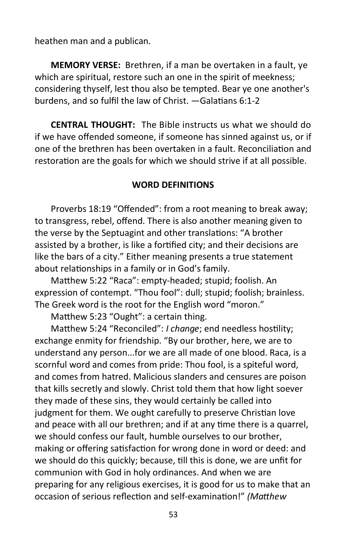heathen man and a publican.

**MEMORY VERSE:** Brethren, if a man be overtaken in a fault, ye which are spiritual, restore such an one in the spirit of meekness; considering thyself, lest thou also be tempted. Bear ye one another's burdens, and so fulfil the law of Christ. —Galatians 6:1-2

**CENTRAL THOUGHT:** The Bible instructs us what we should do if we have offended someone, if someone has sinned against us, or if one of the brethren has been overtaken in a fault. Reconciliation and restoration are the goals for which we should strive if at all possible.

### **WORD DEFINITIONS**

Proverbs 18:19 "Offended": from a root meaning to break away; to transgress, rebel, offend. There is also another meaning given to the verse by the Septuagint and other translations: "A brother assisted by a brother, is like a fortified city; and their decisions are like the bars of a city." Either meaning presents a true statement about relationships in a family or in God's family.

Matthew 5:22 "Raca": empty-headed; stupid; foolish. An expression of contempt. "Thou fool": dull; stupid; foolish; brainless. The Greek word is the root for the English word "moron."

Matthew 5:23 "Ought": a certain thing.

Matthew 5:24 "Reconciled": *I change*; end needless hostility; exchange enmity for friendship. "By our brother, here, we are to understand any person...for we are all made of one blood. Raca, is a scornful word and comes from pride: Thou fool, is a spiteful word, and comes from hatred. Malicious slanders and censures are poison that kills secretly and slowly. Christ told them that how light soever they made of these sins, they would certainly be called into judgment for them. We ought carefully to preserve Christian love and peace with all our brethren; and if at any time there is a quarrel, we should confess our fault, humble ourselves to our brother, making or offering satisfaction for wrong done in word or deed: and we should do this quickly; because, till this is done, we are unfit for communion with God in holy ordinances. And when we are preparing for any religious exercises, it is good for us to make that an occasion of serious reflection and self-examination!" *(Matthew*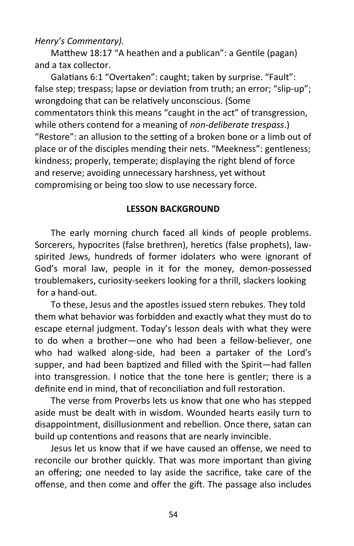### *Henry's Commentary).*

Matthew 18:17 "A heathen and a publican": a Gentile (pagan) and a tax collector.

Galatians 6:1 "Overtaken": caught; taken by surprise. "Fault": false step; trespass; lapse or deviation from truth; an error; "slip-up"; wrongdoing that can be relatively unconscious. (Some commentators think this means "caught in the act" of transgression, while others contend for a meaning of *non-deliberate trespass*.) "Restore": an allusion to the setting of a broken bone or a limb out of place or of the disciples mending their nets. "Meekness": gentleness; kindness; properly, temperate; displaying the right blend of force and reserve; avoiding unnecessary harshness, yet without compromising or being too slow to use necessary force.

### **LESSON BACKGROUND**

The early morning church faced all kinds of people problems. Sorcerers, hypocrites (false brethren), heretics (false prophets), lawspirited Jews, hundreds of former idolaters who were ignorant of God's moral law, people in it for the money, demon-possessed troublemakers, curiosity-seekers looking for a thrill, slackers looking for a hand-out.

To these, Jesus and the apostles issued stern rebukes. They told them what behavior was forbidden and exactly what they must do to escape eternal judgment. Today's lesson deals with what they were to do when a brother—one who had been a fellow-believer, one who had walked along-side, had been a partaker of the Lord's supper, and had been baptized and filled with the Spirit―had fallen into transgression. I notice that the tone here is gentler; there is a definite end in mind, that of reconciliation and full restoration.

The verse from Proverbs lets us know that one who has stepped aside must be dealt with in wisdom. Wounded hearts easily turn to disappointment, disillusionment and rebellion. Once there, satan can build up contentions and reasons that are nearly invincible.

Jesus let us know that if we have caused an offense, we need to reconcile our brother quickly. That was more important than giving an offering; one needed to lay aside the sacrifice, take care of the offense, and then come and offer the gift. The passage also includes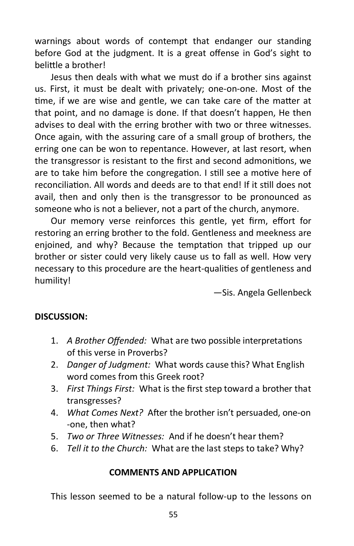warnings about words of contempt that endanger our standing before God at the judgment. It is a great offense in God's sight to belittle a brother!

Jesus then deals with what we must do if a brother sins against us. First, it must be dealt with privately; one-on-one. Most of the time, if we are wise and gentle, we can take care of the matter at that point, and no damage is done. If that doesn't happen, He then advises to deal with the erring brother with two or three witnesses. Once again, with the assuring care of a small group of brothers, the erring one can be won to repentance. However, at last resort, when the transgressor is resistant to the first and second admonitions, we are to take him before the congregation. I still see a motive here of reconciliation. All words and deeds are to that end! If it still does not avail, then and only then is the transgressor to be pronounced as someone who is not a believer, not a part of the church, anymore.

Our memory verse reinforces this gentle, yet firm, effort for restoring an erring brother to the fold. Gentleness and meekness are enjoined, and why? Because the temptation that tripped up our brother or sister could very likely cause us to fall as well. How very necessary to this procedure are the heart-qualities of gentleness and humility!

—Sis. Angela Gellenbeck

# **DISCUSSION:**

- 1. *A Brother Offended:* What are two possible interpretations of this verse in Proverbs?
- 2. *Danger of Judgment:* What words cause this? What English word comes from this Greek root?
- 3. *First Things First:* What is the first step toward a brother that transgresses?
- 4. *What Comes Next?* After the brother isn't persuaded, one-on -one, then what?
- 5. *Two or Three Witnesses:* And if he doesn't hear them?
- 6. *Tell it to the Church:* What are the last steps to take? Why?

## **COMMENTS AND APPLICATION**

This lesson seemed to be a natural follow-up to the lessons on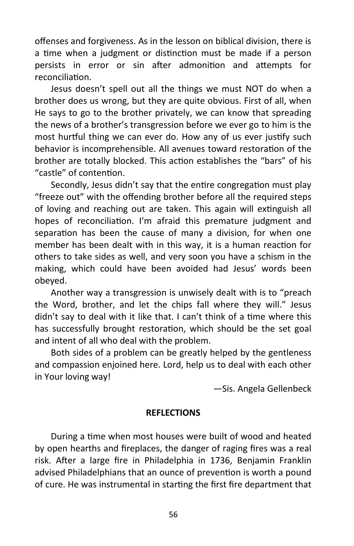offenses and forgiveness. As in the lesson on biblical division, there is a time when a judgment or distinction must be made if a person persists in error or sin after admonition and attempts for reconciliation.

Jesus doesn't spell out all the things we must NOT do when a brother does us wrong, but they are quite obvious. First of all, when He says to go to the brother privately, we can know that spreading the news of a brother's transgression before we ever go to him is the most hurtful thing we can ever do. How any of us ever justify such behavior is incomprehensible. All avenues toward restoration of the brother are totally blocked. This action establishes the "bars" of his "castle" of contention.

Secondly, Jesus didn't say that the entire congregation must play "freeze out" with the offending brother before all the required steps of loving and reaching out are taken. This again will extinguish all hopes of reconciliation. I'm afraid this premature judgment and separation has been the cause of many a division, for when one member has been dealt with in this way, it is a human reaction for others to take sides as well, and very soon you have a schism in the making, which could have been avoided had Jesus' words been obeyed.

Another way a transgression is unwisely dealt with is to "preach the Word, brother, and let the chips fall where they will." Jesus didn't say to deal with it like that. I can't think of a time where this has successfully brought restoration, which should be the set goal and intent of all who deal with the problem.

Both sides of a problem can be greatly helped by the gentleness and compassion enjoined here. Lord, help us to deal with each other in Your loving way!

—Sis. Angela Gellenbeck

## **REFLECTIONS**

During a time when most houses were built of wood and heated by open hearths and fireplaces, the danger of raging fires was a real risk. After a large fire in Philadelphia in 1736, Benjamin Franklin advised Philadelphians that an ounce of prevention is worth a pound of cure. He was instrumental in starting the first fire department that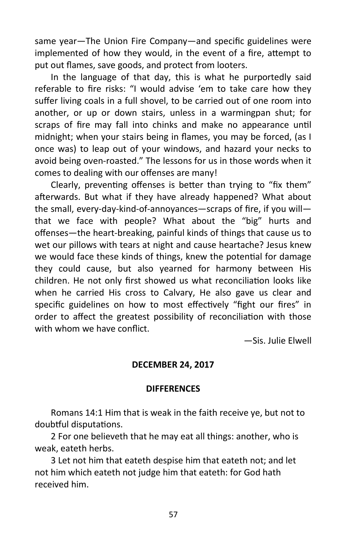same year—The Union Fire Company—and specific guidelines were implemented of how they would, in the event of a fire, attempt to put out flames, save goods, and protect from looters.

In the language of that day, this is what he purportedly said referable to fire risks: "I would advise 'em to take care how they suffer living coals in a full shovel, to be carried out of one room into another, or up or down stairs, unless in a warmingpan shut; for scraps of fire may fall into chinks and make no appearance until midnight; when your stairs being in flames, you may be forced, (as I once was) to leap out of your windows, and hazard your necks to avoid being oven-roasted." The lessons for us in those words when it comes to dealing with our offenses are many!

Clearly, preventing offenses is better than trying to "fix them" afterwards. But what if they have already happened? What about the small, every-day-kind-of-annoyances—scraps of fire, if you will that we face with people? What about the "big" hurts and offenses—the heart-breaking, painful kinds of things that cause us to wet our pillows with tears at night and cause heartache? Jesus knew we would face these kinds of things, knew the potential for damage they could cause, but also yearned for harmony between His children. He not only first showed us what reconciliation looks like when he carried His cross to Calvary, He also gave us clear and specific guidelines on how to most effectively "fight our fires" in order to affect the greatest possibility of reconciliation with those with whom we have conflict.

—Sis. Julie Elwell

# **DECEMBER 24, 2017**

## **DIFFERENCES**

Romans 14:1 Him that is weak in the faith receive ye, but not to doubtful disputations.

2 For one believeth that he may eat all things: another, who is weak, eateth herbs.

3 Let not him that eateth despise him that eateth not; and let not him which eateth not judge him that eateth: for God hath received him.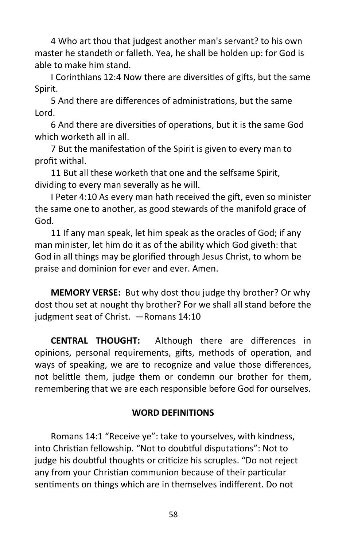4 Who art thou that judgest another man's servant? to his own master he standeth or falleth. Yea, he shall be holden up: for God is able to make him stand.

I Corinthians 12:4 Now there are diversities of gifts, but the same Spirit.

5 And there are differences of administrations, but the same Lord.

6 And there are diversities of operations, but it is the same God which worketh all in all.

7 But the manifestation of the Spirit is given to every man to profit withal.

11 But all these worketh that one and the selfsame Spirit, dividing to every man severally as he will.

I Peter 4:10 As every man hath received the gift, even so minister the same one to another, as good stewards of the manifold grace of God.

11 If any man speak, let him speak as the oracles of God; if any man minister, let him do it as of the ability which God giveth: that God in all things may be glorified through Jesus Christ, to whom be praise and dominion for ever and ever. Amen.

**MEMORY VERSE:** But why dost thou judge thy brother? Or why dost thou set at nought thy brother? For we shall all stand before the judgment seat of Christ. —Romans 14:10

**CENTRAL THOUGHT:** Although there are differences in opinions, personal requirements, gifts, methods of operation, and ways of speaking, we are to recognize and value those differences, not belittle them, judge them or condemn our brother for them, remembering that we are each responsible before God for ourselves.

# **WORD DEFINITIONS**

Romans 14:1 "Receive ye": take to yourselves, with kindness, into Christian fellowship. "Not to doubtful disputations": Not to judge his doubtful thoughts or criticize his scruples. "Do not reject any from your Christian communion because of their particular sentiments on things which are in themselves indifferent. Do not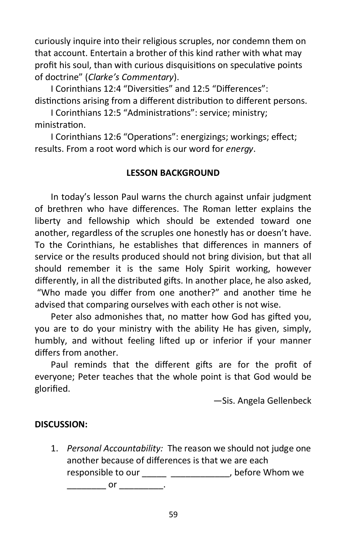curiously inquire into their religious scruples, nor condemn them on that account. Entertain a brother of this kind rather with what may profit his soul, than with curious disquisitions on speculative points of doctrine" (*Clarke's Commentary*).

I Corinthians 12:4 "Diversities" and 12:5 "Differences": distinctions arising from a different distribution to different persons.

I Corinthians 12:5 "Administrations": service; ministry; ministration.

I Corinthians 12:6 "Operations": energizings; workings; effect; results. From a root word which is our word for *energy*.

### **LESSON BACKGROUND**

In today's lesson Paul warns the church against unfair judgment of brethren who have differences. The Roman letter explains the liberty and fellowship which should be extended toward one another, regardless of the scruples one honestly has or doesn't have. To the Corinthians, he establishes that differences in manners of service or the results produced should not bring division, but that all should remember it is the same Holy Spirit working, however differently, in all the distributed gifts. In another place, he also asked, "Who made you differ from one another?" and another time he advised that comparing ourselves with each other is not wise.

Peter also admonishes that, no matter how God has gifted you, you are to do your ministry with the ability He has given, simply, humbly, and without feeling lifted up or inferior if your manner differs from another.

Paul reminds that the different gifts are for the profit of everyone; Peter teaches that the whole point is that God would be glorified.

—Sis. Angela Gellenbeck

#### **DISCUSSION:**

1. *Personal Accountability:* The reason we should not judge one another because of differences is that we are each responsible to our  $\frac{1}{\frac{1}{2}}$   $\frac{1}{\frac{1}{2}}$   $\frac{1}{\frac{1}{2}}$ , before Whom we \_\_\_\_\_\_\_\_\_ or \_\_\_\_\_\_\_\_\_\_\_\_.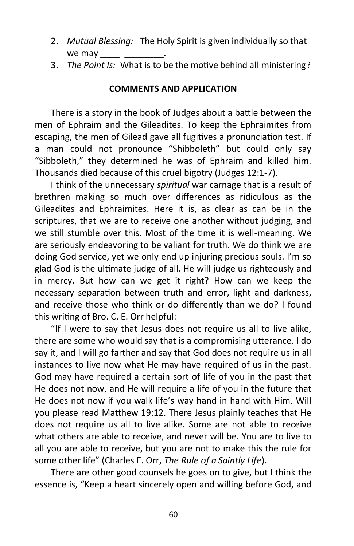- 2. *Mutual Blessing:* The Holy Spirit is given individually so that we may
- 3. *The Point Is:* What is to be the motive behind all ministering?

## **COMMENTS AND APPLICATION**

There is a story in the book of Judges about a battle between the men of Ephraim and the Gileadites. To keep the Ephraimites from escaping, the men of Gilead gave all fugitives a pronunciation test. If a man could not pronounce "Shibboleth" but could only say "Sibboleth," they determined he was of Ephraim and killed him. Thousands died because of this cruel bigotry (Judges 12:1-7).

I think of the unnecessary *spiritual* war carnage that is a result of brethren making so much over differences as ridiculous as the Gileadites and Ephraimites. Here it is, as clear as can be in the scriptures, that we are to receive one another without judging, and we still stumble over this. Most of the time it is well-meaning. We are seriously endeavoring to be valiant for truth. We do think we are doing God service, yet we only end up injuring precious souls. I'm so glad God is the ultimate judge of all. He will judge us righteously and in mercy. But how can we get it right? How can we keep the necessary separation between truth and error, light and darkness, and receive those who think or do differently than we do? I found this writing of Bro. C. E. Orr helpful:

"If I were to say that Jesus does not require us all to live alike, there are some who would say that is a compromising utterance. I do say it, and I will go farther and say that God does not require us in all instances to live now what He may have required of us in the past. God may have required a certain sort of life of you in the past that He does not now, and He will require a life of you in the future that He does not now if you walk life's way hand in hand with Him. Will you please read Matthew 19:12. There Jesus plainly teaches that He does not require us all to live alike. Some are not able to receive what others are able to receive, and never will be. You are to live to all you are able to receive, but you are not to make this the rule for some other life" (Charles E. Orr, *The Rule of a Saintly Life*).

There are other good counsels he goes on to give, but I think the essence is, "Keep a heart sincerely open and willing before God, and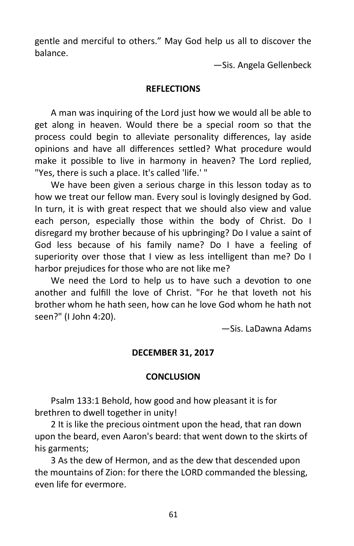gentle and merciful to others." May God help us all to discover the balance.

—Sis. Angela Gellenbeck

### **REFLECTIONS**

A man was inquiring of the Lord just how we would all be able to get along in heaven. Would there be a special room so that the process could begin to alleviate personality differences, lay aside opinions and have all differences settled? What procedure would make it possible to live in harmony in heaven? The Lord replied, "Yes, there is such a place. It's called 'life.' "

We have been given a serious charge in this lesson today as to how we treat our fellow man. Every soul is lovingly designed by God. In turn, it is with great respect that we should also view and value each person, especially those within the body of Christ. Do I disregard my brother because of his upbringing? Do I value a saint of God less because of his family name? Do I have a feeling of superiority over those that I view as less intelligent than me? Do I harbor prejudices for those who are not like me?

We need the Lord to help us to have such a devotion to one another and fulfill the love of Christ. "For he that loveth not his brother whom he hath seen, how can he love God whom he hath not seen?" (I John 4:20).

—Sis. LaDawna Adams

#### **DECEMBER 31, 2017**

#### **CONCLUSION**

Psalm 133:1 Behold, how good and how pleasant it is for brethren to dwell together in unity!

2 It is like the precious ointment upon the head, that ran down upon the beard, even Aaron's beard: that went down to the skirts of his garments;

3 As the dew of Hermon, and as the dew that descended upon the mountains of Zion: for there the LORD commanded the blessing, even life for evermore.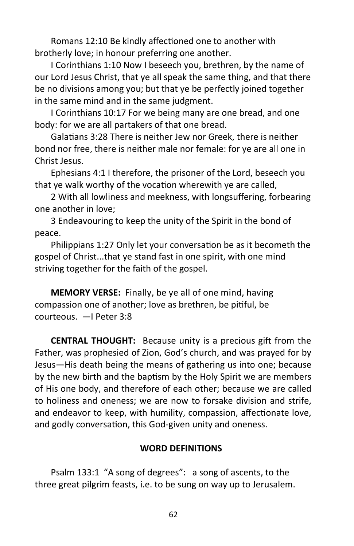Romans 12:10 Be kindly affectioned one to another with brotherly love; in honour preferring one another.

I Corinthians 1:10 Now I beseech you, brethren, by the name of our Lord Jesus Christ, that ye all speak the same thing, and that there be no divisions among you; but that ye be perfectly joined together in the same mind and in the same judgment.

I Corinthians 10:17 For we being many are one bread, and one body: for we are all partakers of that one bread.

Galatians 3:28 There is neither Jew nor Greek, there is neither bond nor free, there is neither male nor female: for ye are all one in Christ Jesus.

Ephesians 4:1 I therefore, the prisoner of the Lord, beseech you that ye walk worthy of the vocation wherewith ye are called,

2 With all lowliness and meekness, with longsuffering, forbearing one another in love;

3 Endeavouring to keep the unity of the Spirit in the bond of peace.

Philippians 1:27 Only let your conversation be as it becometh the gospel of Christ...that ye stand fast in one spirit, with one mind striving together for the faith of the gospel.

**MEMORY VERSE:** Finally, be ye all of one mind, having compassion one of another; love as brethren, be pitiful, be courteous. —I Peter 3:8

**CENTRAL THOUGHT:** Because unity is a precious gift from the Father, was prophesied of Zion, God's church, and was prayed for by Jesus—His death being the means of gathering us into one; because by the new birth and the baptism by the Holy Spirit we are members of His one body, and therefore of each other; because we are called to holiness and oneness; we are now to forsake division and strife, and endeavor to keep, with humility, compassion, affectionate love, and godly conversation, this God-given unity and oneness.

## **WORD DEFINITIONS**

Psalm 133:1 "A song of degrees": a song of ascents, to the three great pilgrim feasts, i.e. to be sung on way up to Jerusalem.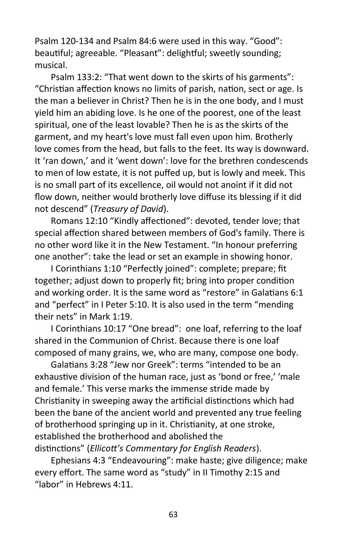Psalm 120-134 and Psalm 84:6 were used in this way. "Good": beautiful; agreeable. "Pleasant": delightful; sweetly sounding; musical.

Psalm 133:2: "That went down to the skirts of his garments": "Christian affection knows no limits of parish, nation, sect or age. Is the man a believer in Christ? Then he is in the one body, and I must yield him an abiding love. Is he one of the poorest, one of the least spiritual, one of the least lovable? Then he is as the skirts of the garment, and my heart's love must fall even upon him. Brotherly love comes from the head, but falls to the feet. Its way is downward. It 'ran down,' and it 'went down': love for the brethren condescends to men of low estate, it is not puffed up, but is lowly and meek. This is no small part of its excellence, oil would not anoint if it did not flow down, neither would brotherly love diffuse its blessing if it did not descend" (*Treasury of David*).

Romans 12:10 "Kindly affectioned": devoted, tender love; that special affection shared between members of God's family. There is no other word like it in the New Testament. "In honour preferring one another": take the lead or set an example in showing honor.

I Corinthians 1:10 "Perfectly joined": complete; prepare; fit together; adjust down to properly fit; bring into proper condition and working order. It is the same word as "restore" in Galatians 6:1 and "perfect" in I Peter 5:10. It is also used in the term "mending their nets" in Mark 1:19.

I Corinthians 10:17 "One bread": one loaf, referring to the loaf shared in the Communion of Christ. Because there is one loaf composed of many grains, we, who are many, compose one body.

Galatians 3:28 "Jew nor Greek": terms "intended to be an exhaustive division of the human race, just as 'bond or free,' 'male and female.' This verse marks the immense stride made by Christianity in sweeping away the artificial distinctions which had been the bane of the ancient world and prevented any true feeling of brotherhood springing up in it. Christianity, at one stroke, established the brotherhood and abolished the distinctions" (*Ellicott's Commentary for English Readers*).

Ephesians 4:3 "Endeavouring": make haste; give diligence; make every effort. The same word as "study" in II Timothy 2:15 and "labor" in Hebrews 4:11.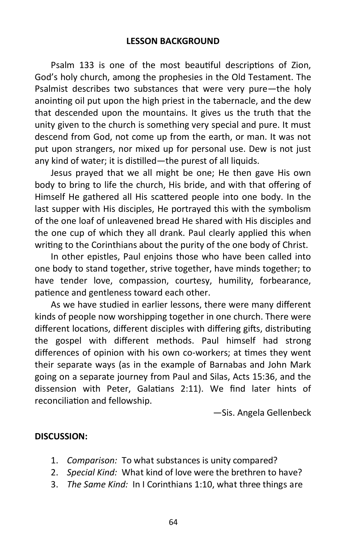Psalm 133 is one of the most beautiful descriptions of Zion, God's holy church, among the prophesies in the Old Testament. The Psalmist describes two substances that were very pure—the holy anointing oil put upon the high priest in the tabernacle, and the dew that descended upon the mountains. It gives us the truth that the unity given to the church is something very special and pure. It must descend from God, not come up from the earth, or man. It was not put upon strangers, nor mixed up for personal use. Dew is not just any kind of water; it is distilled—the purest of all liquids.

Jesus prayed that we all might be one; He then gave His own body to bring to life the church, His bride, and with that offering of Himself He gathered all His scattered people into one body. In the last supper with His disciples, He portrayed this with the symbolism of the one loaf of unleavened bread He shared with His disciples and the one cup of which they all drank. Paul clearly applied this when writing to the Corinthians about the purity of the one body of Christ.

In other epistles, Paul enjoins those who have been called into one body to stand together, strive together, have minds together; to have tender love, compassion, courtesy, humility, forbearance, patience and gentleness toward each other.

As we have studied in earlier lessons, there were many different kinds of people now worshipping together in one church. There were different locations, different disciples with differing gifts, distributing the gospel with different methods. Paul himself had strong differences of opinion with his own co-workers; at times they went their separate ways (as in the example of Barnabas and John Mark going on a separate journey from Paul and Silas, Acts 15:36, and the dissension with Peter, Galatians 2:11). We find later hints of reconciliation and fellowship.

—Sis. Angela Gellenbeck

#### **DISCUSSION:**

- 1. *Comparison:* To what substances is unity compared?
- 2. *Special Kind:* What kind of love were the brethren to have?
- 3. *The Same Kind:* In I Corinthians 1:10, what three things are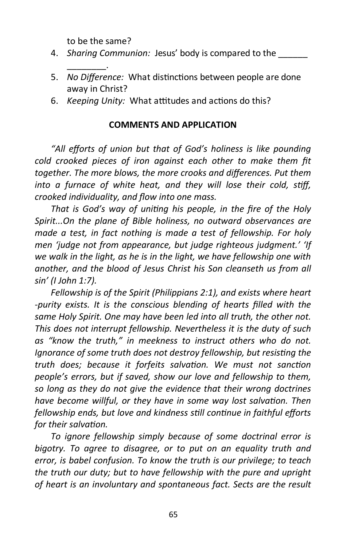to be the same?

\_\_\_\_\_\_\_\_.

- 4. *Sharing Communion:* Jesus' body is compared to the
- 5. *No Difference:* What distinctions between people are done away in Christ?
- 6. *Keeping Unity:* What attitudes and actions do this?

#### **COMMENTS AND APPLICATION**

*"All efforts of union but that of God's holiness is like pounding cold crooked pieces of iron against each other to make them fit together. The more blows, the more crooks and differences. Put them into a furnace of white heat, and they will lose their cold, stiff, crooked individuality, and flow into one mass.*

*That is God's way of uniting his people, in the fire of the Holy Spirit...On the plane of Bible holiness, no outward observances are made a test, in fact nothing is made a test of fellowship. For holy men 'judge not from appearance, but judge righteous judgment.' 'If we walk in the light, as he is in the light, we have fellowship one with another, and the blood of Jesus Christ his Son cleanseth us from all sin' (I John 1:7).*

*Fellowship is of the Spirit (Philippians 2:1), and exists where heart -purity exists. It is the conscious blending of hearts filled with the same Holy Spirit. One may have been led into all truth, the other not. This does not interrupt fellowship. Nevertheless it is the duty of such as "know the truth," in meekness to instruct others who do not. Ignorance of some truth does not destroy fellowship, but resisting the truth does; because it forfeits salvation. We must not sanction people's errors, but if saved, show our love and fellowship to them, so long as they do not give the evidence that their wrong doctrines have become willful, or they have in some way lost salvation. Then fellowship ends, but love and kindness still continue in faithful efforts for their salvation.*

*To ignore fellowship simply because of some doctrinal error is bigotry. To agree to disagree, or to put on an equality truth and error, is babel confusion. To know the truth is our privilege; to teach the truth our duty; but to have fellowship with the pure and upright of heart is an involuntary and spontaneous fact. Sects are the result*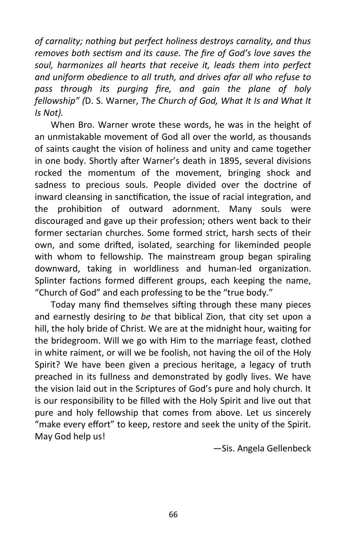*of carnality; nothing but perfect holiness destroys carnality, and thus removes both sectism and its cause. The fire of God's love saves the soul, harmonizes all hearts that receive it, leads them into perfect and uniform obedience to all truth, and drives afar all who refuse to pass through its purging fire, and gain the plane of holy fellowship" (*D. S. Warner, *The Church of God, What It Is and What It Is Not).*

When Bro. Warner wrote these words, he was in the height of an unmistakable movement of God all over the world, as thousands of saints caught the vision of holiness and unity and came together in one body. Shortly after Warner's death in 1895, several divisions rocked the momentum of the movement, bringing shock and sadness to precious souls. People divided over the doctrine of inward cleansing in sanctification, the issue of racial integration, and the prohibition of outward adornment. Many souls were discouraged and gave up their profession; others went back to their former sectarian churches. Some formed strict, harsh sects of their own, and some drifted, isolated, searching for likeminded people with whom to fellowship. The mainstream group began spiraling downward, taking in worldliness and human-led organization. Splinter factions formed different groups, each keeping the name, "Church of God" and each professing to be the "true body."

Today many find themselves sifting through these many pieces and earnestly desiring to *be* that biblical Zion, that city set upon a hill, the holy bride of Christ. We are at the midnight hour, waiting for the bridegroom. Will we go with Him to the marriage feast, clothed in white raiment, or will we be foolish, not having the oil of the Holy Spirit? We have been given a precious heritage, a legacy of truth preached in its fullness and demonstrated by godly lives. We have the vision laid out in the Scriptures of God's pure and holy church. It is our responsibility to be filled with the Holy Spirit and live out that pure and holy fellowship that comes from above. Let us sincerely "make every effort" to keep, restore and seek the unity of the Spirit. May God help us!

—Sis. Angela Gellenbeck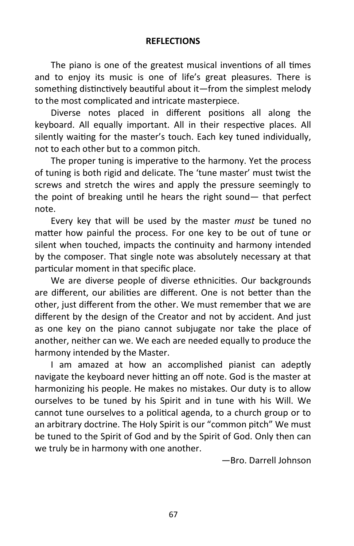### **REFLECTIONS**

The piano is one of the greatest musical inventions of all times and to enjoy its music is one of life's great pleasures. There is something distinctively beautiful about it—from the simplest melody to the most complicated and intricate masterpiece.

Diverse notes placed in different positions all along the keyboard. All equally important. All in their respective places. All silently waiting for the master's touch. Each key tuned individually, not to each other but to a common pitch.

The proper tuning is imperative to the harmony. Yet the process of tuning is both rigid and delicate. The 'tune master' must twist the screws and stretch the wires and apply the pressure seemingly to the point of breaking until he hears the right sound— that perfect note.

Every key that will be used by the master *must* be tuned no matter how painful the process. For one key to be out of tune or silent when touched, impacts the continuity and harmony intended by the composer. That single note was absolutely necessary at that particular moment in that specific place.

We are diverse people of diverse ethnicities. Our backgrounds are different, our abilities are different. One is not better than the other, just different from the other. We must remember that we are different by the design of the Creator and not by accident. And just as one key on the piano cannot subjugate nor take the place of another, neither can we. We each are needed equally to produce the harmony intended by the Master.

I am amazed at how an accomplished pianist can adeptly navigate the keyboard never hitting an off note. God is the master at harmonizing his people. He makes no mistakes. Our duty is to allow ourselves to be tuned by his Spirit and in tune with his Will. We cannot tune ourselves to a political agenda, to a church group or to an arbitrary doctrine. The Holy Spirit is our "common pitch" We must be tuned to the Spirit of God and by the Spirit of God. Only then can we truly be in harmony with one another.

—Bro. Darrell Johnson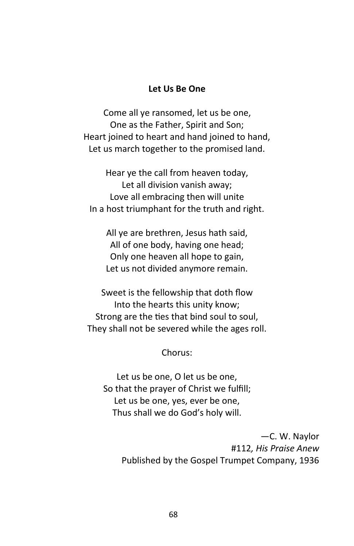#### **Let Us Be One**

Come all ye ransomed, let us be one, One as the Father, Spirit and Son; Heart joined to heart and hand joined to hand, Let us march together to the promised land.

Hear ye the call from heaven today, Let all division vanish away; Love all embracing then will unite In a host triumphant for the truth and right.

All ye are brethren, Jesus hath said, All of one body, having one head; Only one heaven all hope to gain, Let us not divided anymore remain.

Sweet is the fellowship that doth flow Into the hearts this unity know; Strong are the ties that bind soul to soul, They shall not be severed while the ages roll.

#### Chorus:

Let us be one, O let us be one, So that the prayer of Christ we fulfill; Let us be one, yes, ever be one, Thus shall we do God's holy will.

> —C. W. Naylor #112*, His Praise Anew* Published by the Gospel Trumpet Company, 1936